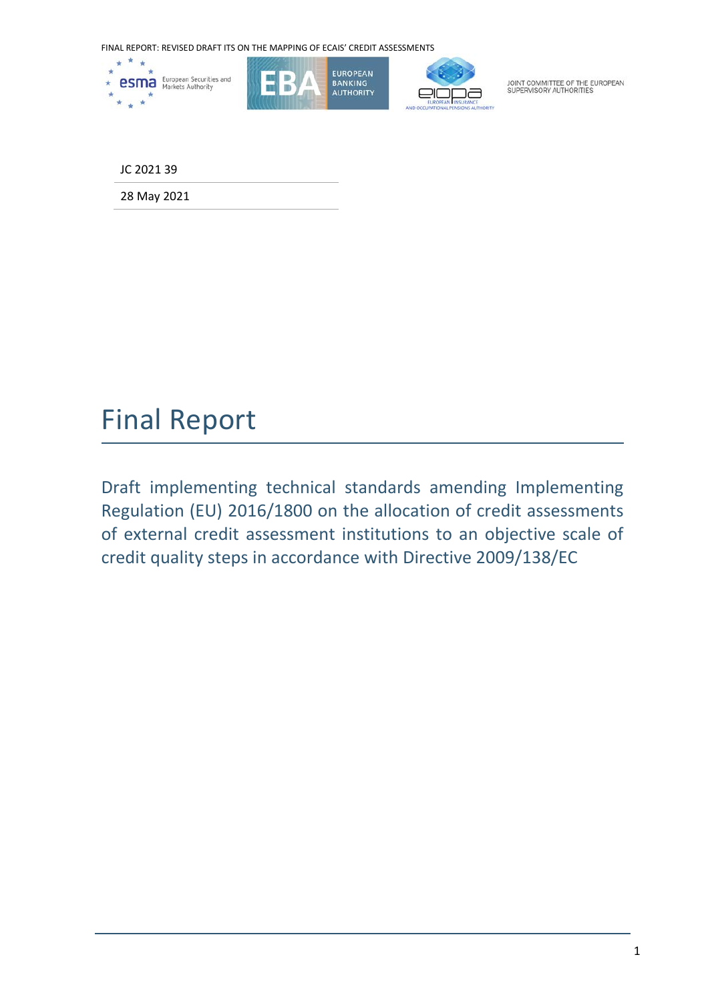

JC 2021 39

28 May 2021

## Final Report

Draft implementing technical standards amending Implementing Regulation (EU) 2016/1800 on the allocation of credit assessments of external credit assessment institutions to an objective scale of credit quality steps in accordance with Directive 2009/138/EC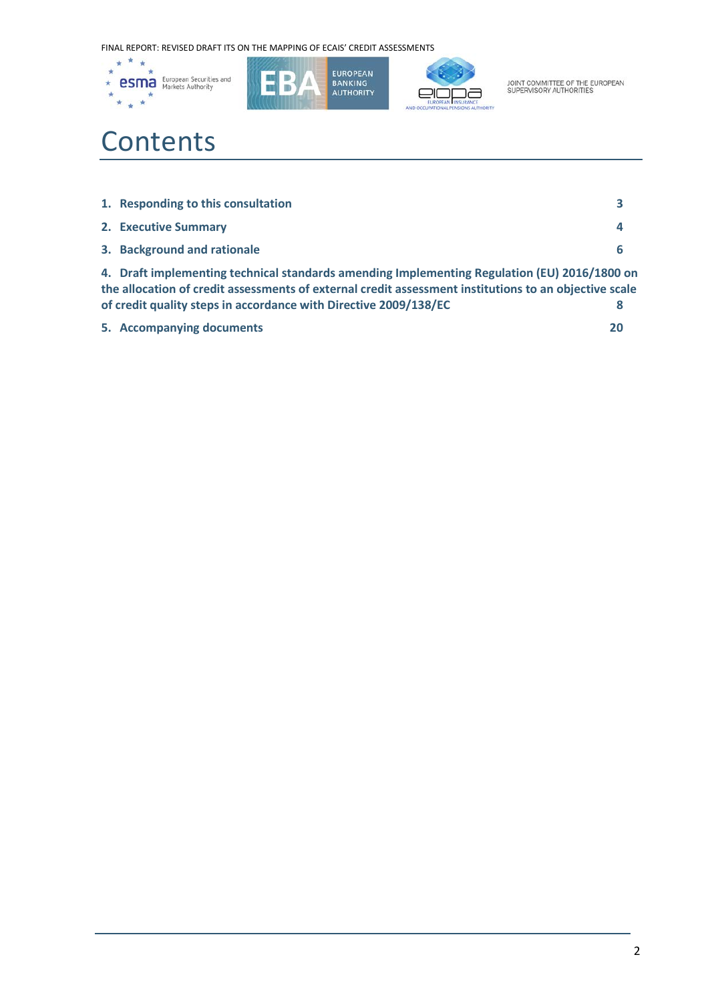





JOINT COMMITTEE OF THE EUROPEAN<br>SUPERVISORY AUTHORITIES

## **Contents**

| 1. Responding to this consultation                                                                                                                                                                                                                                        | 3 |
|---------------------------------------------------------------------------------------------------------------------------------------------------------------------------------------------------------------------------------------------------------------------------|---|
| 2. Executive Summary                                                                                                                                                                                                                                                      | 4 |
| 3. Background and rationale                                                                                                                                                                                                                                               | 6 |
| 4. Draft implementing technical standards amending Implementing Regulation (EU) 2016/1800 on<br>the allocation of credit assessments of external credit assessment institutions to an objective scale<br>of credit quality steps in accordance with Directive 2009/138/EC | 8 |
| 5. Accompanying documents                                                                                                                                                                                                                                                 |   |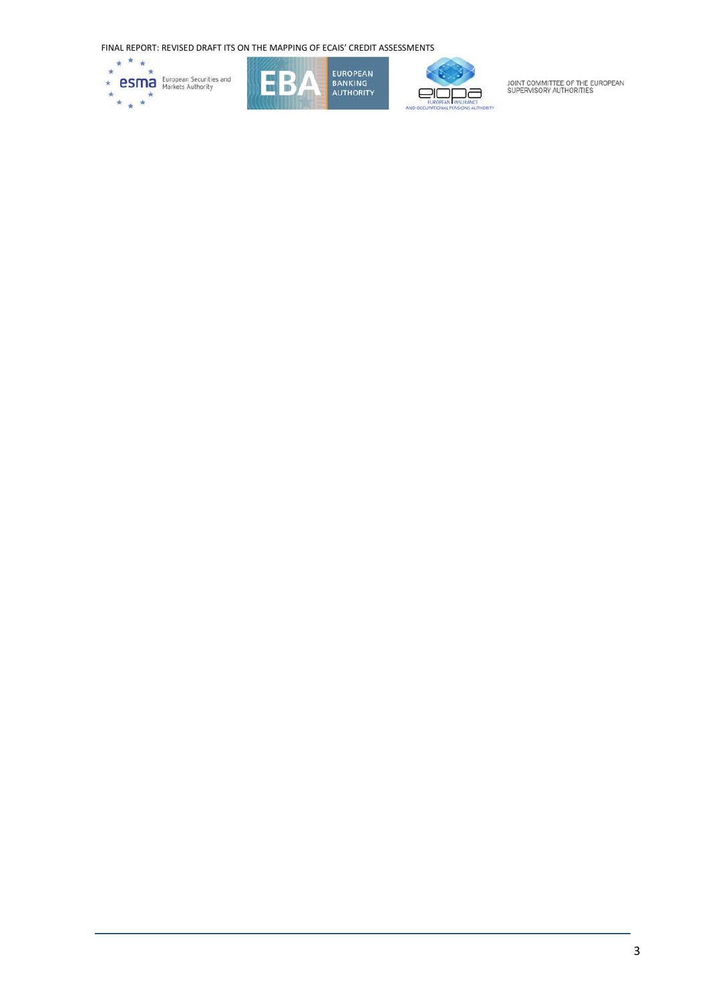



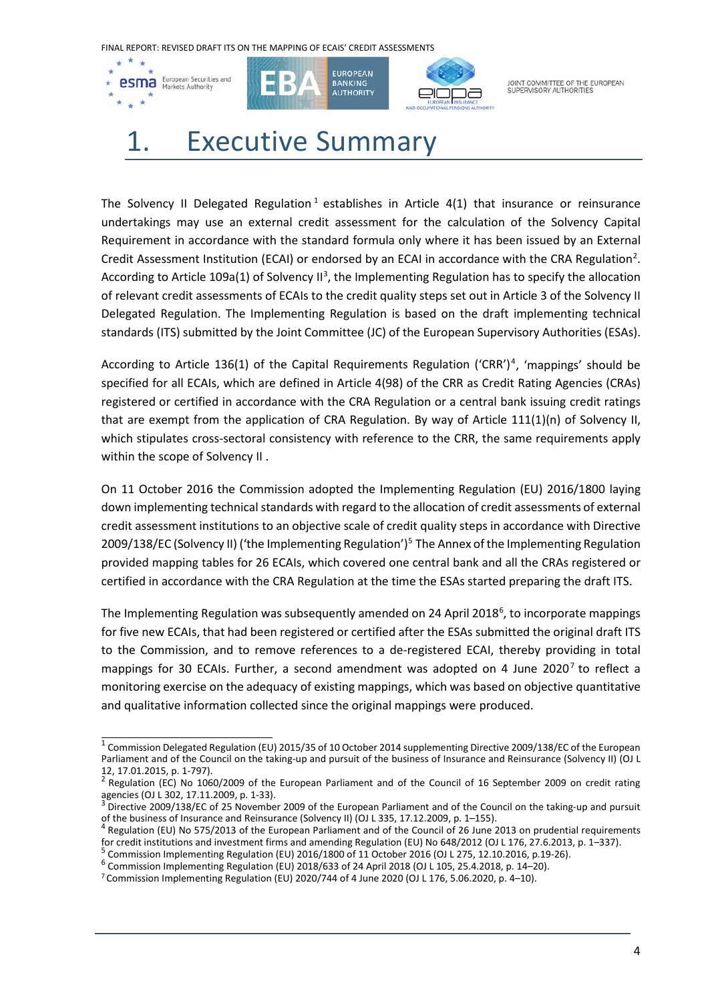





JOINT COMMITTEE OF THE EUROPEAN<br>SUPERVISORY AUTHORITIES

## **Executive Summary**

The Solvency II Delegated Regulation<sup>[1](#page-3-0)</sup> establishes in Article  $4(1)$  that insurance or reinsurance undertakings may use an external credit assessment for the calculation of the Solvency Capital Requirement in accordance with the standard formula only where it has been issued by an External Credit Assessment Institution (ECAI) or endorsed by an ECAI in accordance with the CRA Regulation<sup>[2](#page-3-1)</sup>. According to Article 109a(1) of Solvency II<sup>[3](#page-3-2)</sup>, the Implementing Regulation has to specify the allocation of relevant credit assessments of ECAIs to the credit quality steps set out in Article 3 of the Solvency II Delegated Regulation. The Implementing Regulation is based on the draft implementing technical standards (ITS) submitted by the Joint Committee (JC) of the European Supervisory Authorities (ESAs).

According to Article 136(1) of the Capital Requirements Regulation ('CRR')<sup>[4](#page-3-3)</sup>, 'mappings' should be specified for all ECAIs, which are defined in Article 4(98) of the CRR as Credit Rating Agencies (CRAs) registered or certified in accordance with the CRA Regulation or a central bank issuing credit ratings that are exempt from the application of CRA Regulation. By way of Article  $111(1)(n)$  of Solvency II, which stipulates cross-sectoral consistency with reference to the CRR, the same requirements apply within the scope of Solvency II .

On 11 October 2016 the Commission adopted the Implementing Regulation (EU) 2016/1800 laying down implementing technical standards with regard to the allocation of credit assessments of external credit assessment institutions to an objective scale of credit quality steps in accordance with Directive 2009/138/EC (Solvency II) ('the Implementing Regulation')<sup>[5](#page-3-4)</sup> The Annex of the Implementing Regulation provided mapping tables for 26 ECAIs, which covered one central bank and all the CRAs registered or certified in accordance with the CRA Regulation at the time the ESAs started preparing the draft ITS.

The Implementing Regulation was subsequently amended on 24 April 2018<sup>[6](#page-3-5)</sup>, to incorporate mappings for five new ECAIs, that had been registered or certified after the ESAs submitted the original draft ITS to the Commission, and to remove references to a de-registered ECAI, thereby providing in total mappings for 30 ECAIs. Further, a second amendment was adopted on 4 June 2020<sup>[7](#page-3-6)</sup> to reflect a monitoring exercise on the adequacy of existing mappings, which was based on objective quantitative and qualitative information collected since the original mappings were produced.

<span id="page-3-0"></span> $1$  Commission Delegated Regulation (EU) 2015/35 of 10 October 2014 supplementing Directive 2009/138/EC of the European Parliament and of the Council on the taking-up and pursuit of the business of Insurance and Reinsurance (Solvency II) (OJ L 12, 17.01.2015, p. 1-797).<br><sup>2</sup> Regulation (EC) No 1060/2009 of the European Parliament and of the Council of 16 September 2009 on credit rating

<span id="page-3-1"></span>

<span id="page-3-2"></span>agencies (OJ L 302, 17.11.2009, p. 1-33).<br><sup>3</sup> Directive 2009/138/EC of 25 November 2009 of the European Parliament and of the Council on the taking-up and pursuit of the business of Insurance and Reinsurance (Solvency II) (OJ L 335, 17.12.2009, p. 1–155).<br><sup>4</sup> Regulation (EU) No 575/2013 of the European Parliament and of the Council of 26 June 2013 on prudential requirements

<span id="page-3-3"></span>for credit institutions and investment firms and amending Regulation (EU) No 648/2012 (OJ L 176, 27.6.2013, p. 1–337).  $5$ Commission Implementing Regulation (EU) 2016/1800 of 11 October 2016 (OJ L 275, 12.10.2016, p.19-26

<span id="page-3-5"></span><span id="page-3-4"></span><sup>6</sup> Commission Implementing Regulation (EU) 2018/633 of 24 April 2018 (OJ L 105, 25.4.2018, p. 14–20).

<span id="page-3-6"></span><sup>7</sup> Commission Implementing Regulation (EU) 2020/744 of 4 June 2020 (OJ L 176, 5.06.2020, p. 4–10).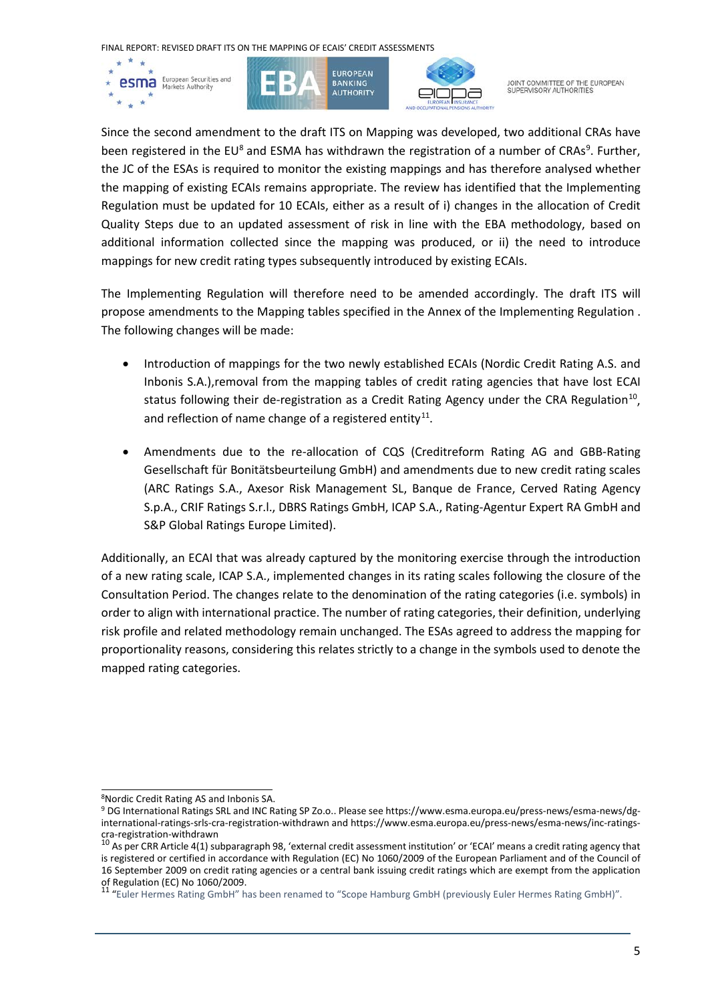

JOINT COMMITTEE OF THE EUROPEAN<br>SUPERVISORY AUTHORITIES

Since the second amendment to the draft ITS on Mapping was developed, two additional CRAs have been registered in the EU<sup>[8](#page-4-0)</sup> and ESMA has withdrawn the registration of a number of CRAs<sup>[9](#page-4-1)</sup>. Further, the JC of the ESAs is required to monitor the existing mappings and has therefore analysed whether the mapping of existing ECAIs remains appropriate. The review has identified that the Implementing Regulation must be updated for 10 ECAIs, either as a result of i) changes in the allocation of Credit Quality Steps due to an updated assessment of risk in line with the EBA methodology, based on additional information collected since the mapping was produced, or ii) the need to introduce mappings for new credit rating types subsequently introduced by existing ECAIs.

The Implementing Regulation will therefore need to be amended accordingly. The draft ITS will propose amendments to the Mapping tables specified in the Annex of the Implementing Regulation . The following changes will be made:

- Introduction of mappings for the two newly established ECAIs (Nordic Credit Rating A.S. and Inbonis S.A.),removal from the mapping tables of credit rating agencies that have lost ECAI status following their de-registration as a Credit Rating Agency under the CRA Regulation<sup>10</sup>, and reflection of name change of a registered entity $^{11}$  $^{11}$  $^{11}$ .
- Amendments due to the re-allocation of CQS (Creditreform Rating AG and GBB-Rating Gesellschaft für Bonitätsbeurteilung GmbH) and amendments due to new credit rating scales (ARC Ratings S.A., Axesor Risk Management SL, Banque de France, Cerved Rating Agency S.p.A., CRIF Ratings S.r.l., DBRS Ratings GmbH, ICAP S.A., Rating-Agentur Expert RA GmbH and S&P Global Ratings Europe Limited).

Additionally, an ECAI that was already captured by the monitoring exercise through the introduction of a new rating scale, ICAP S.A., implemented changes in its rating scales following the closure of the Consultation Period. The changes relate to the denomination of the rating categories (i.e. symbols) in order to align with international practice. The number of rating categories, their definition, underlying risk profile and related methodology remain unchanged. The ESAs agreed to address the mapping for proportionality reasons, considering this relates strictly to a change in the symbols used to denote the mapped rating categories.

<span id="page-4-0"></span> $\overline{a}$ 8Nordic Credit Rating AS and Inbonis SA.

<span id="page-4-1"></span><sup>9</sup> DG International Ratings SRL and INC Rating SP Zo.o.. Please se[e https://www.esma.europa.eu/press-news/esma-news/dg](https://www.esma.europa.eu/press-news/esma-news/dg-international-ratings-srls-cra-registration-withdrawn)[international-ratings-srls-cra-registration-withdrawn](https://www.esma.europa.eu/press-news/esma-news/dg-international-ratings-srls-cra-registration-withdrawn) an[d https://www.esma.europa.eu/press-news/esma-news/inc-ratings](https://www.esma.europa.eu/press-news/esma-news/inc-rating%E2%80%99s-cra-registration-withdrawn)[cra-registration-withdrawn](https://www.esma.europa.eu/press-news/esma-news/inc-rating%E2%80%99s-cra-registration-withdrawn)<br><sup>10</sup> As per CRR Article 4(1) subparagraph 98, 'external credit assessment institution' or 'ECAI' means a credit rating agency that

<span id="page-4-2"></span>is registered or certified in accordance with Regulation (EC) No 1060/2009 of the European Parliament and of the Council of 16 September 2009 on credit rating agencies or a central bank issuing credit ratings which are exempt from the application of Regulation (EC) No 1060/2009.<br><sup>11</sup> "Euler Hermes Rating GmbH" has been renamed to "Scope Hamburg GmbH (previously Euler Hermes Rating GmbH)".

<span id="page-4-3"></span>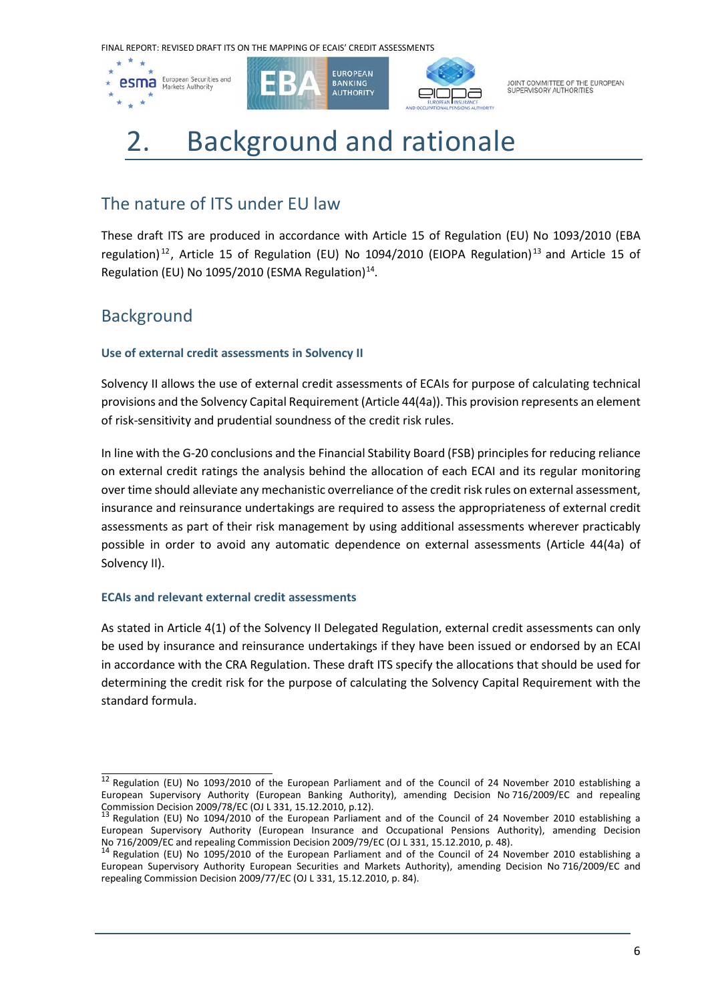

JOINT COMMITTEE OF THE EUROPEAN<br>SUPERVISORY AUTHORITIES

# **Background and rationale**

## The nature of ITS under EU law

These draft ITS are produced in accordance with Article 15 of Regulation (EU) No 1093/2010 (EBA regulation)<sup>[12](#page-5-0)</sup>, Article 15 of Regulation (EU) No 1094/2010 (EIOPA Regulation)<sup>[13](#page-5-1)</sup> and Article 15 of Regulation (EU) No 1095/2010 (ESMA Regulation) [14.](#page-5-2)

## **Background**

## **Use of external credit assessments in Solvency II**

Solvency II allows the use of external credit assessments of ECAIs for purpose of calculating technical provisions and the Solvency Capital Requirement (Article 44(4a)). This provision represents an element of risk-sensitivity and prudential soundness of the credit risk rules.

In line with the G-20 conclusions and the Financial Stability Board (FSB) principles for reducing reliance on external credit ratings the analysis behind the allocation of each ECAI and its regular monitoring over time should alleviate any mechanistic overreliance of the credit risk rules on external assessment, insurance and reinsurance undertakings are required to assess the appropriateness of external credit assessments as part of their risk management by using additional assessments wherever practicably possible in order to avoid any automatic dependence on external assessments (Article 44(4a) of Solvency II).

## **ECAIs and relevant external credit assessments**

As stated in Article 4(1) of the Solvency II Delegated Regulation, external credit assessments can only be used by insurance and reinsurance undertakings if they have been issued or endorsed by an ECAI in accordance with the CRA Regulation. These draft ITS specify the allocations that should be used for determining the credit risk for the purpose of calculating the Solvency Capital Requirement with the standard formula.

<span id="page-5-0"></span><sup>&</sup>lt;sup>12</sup> Regulation (EU) No 1093/2010 of the European Parliament and of the Council of 24 November 2010 establishing a European Supervisory Authority (European Banking Authority), amending Decision No 716/2009/EC and repealing Commission Decision 2009/78/EC (OJ L 331, 15.12.2010, p.12).<br><sup>13</sup> Regulation (EU) No 1094/2010 of the European Parliament and of the Council of 24 November 2010 establishing a

<span id="page-5-1"></span>European Supervisory Authority (European Insurance and Occupational Pensions Authority), amending Decision

<span id="page-5-2"></span>No 716/2009/EC and repealing Commission Decision 2009/79/EC (OJ L 331, 15.12.2010, p. 48).<br><sup>14</sup> Regulation (EU) No 1095/2010 of the European Parliament and of the Council of 24 November 2010 establishing a European Supervisory Authority European Securities and Markets Authority), amending Decision No 716/2009/EC and repealing Commission Decision 2009/77/EC (OJ L 331, 15.12.2010, p. 84).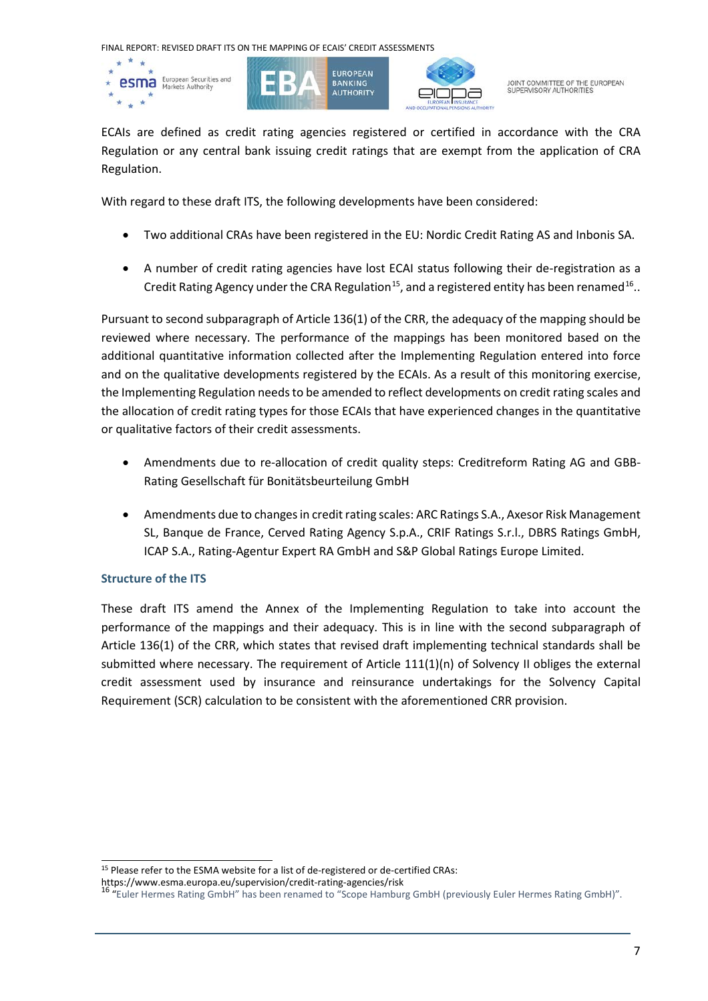

JOINT COMMITTEE OF THE EUROPEAN<br>SUPERVISORY AUTHORITIES

ECAIs are defined as credit rating agencies registered or certified in accordance with the CRA Regulation or any central bank issuing credit ratings that are exempt from the application of CRA Regulation.

With regard to these draft ITS, the following developments have been considered:

- Two additional CRAs have been registered in the EU: Nordic Credit Rating AS and Inbonis SA.
- A number of credit rating agencies have lost ECAI status following their de-registration as a Credit Rating Agency under the CRA Regulation<sup>[15](#page-6-0)</sup>, and a registered entity has been renamed<sup>16</sup>..

Pursuant to second subparagraph of Article 136(1) of the CRR, the adequacy of the mapping should be reviewed where necessary. The performance of the mappings has been monitored based on the additional quantitative information collected after the Implementing Regulation entered into force and on the qualitative developments registered by the ECAIs. As a result of this monitoring exercise, the Implementing Regulation needs to be amended to reflect developments on credit rating scales and the allocation of credit rating types for those ECAIs that have experienced changes in the quantitative or qualitative factors of their credit assessments.

- Amendments due to re-allocation of credit quality steps: Creditreform Rating AG and GBB-Rating Gesellschaft für Bonitätsbeurteilung GmbH
- Amendments due to changes in credit rating scales: ARC Ratings S.A., Axesor Risk Management SL, Banque de France, Cerved Rating Agency S.p.A., CRIF Ratings S.r.l., DBRS Ratings GmbH, ICAP S.A., Rating-Agentur Expert RA GmbH and S&P Global Ratings Europe Limited.

## **Structure of the ITS**

These draft ITS amend the Annex of the Implementing Regulation to take into account the performance of the mappings and their adequacy. This is in line with the second subparagraph of Article 136(1) of the CRR, which states that revised draft implementing technical standards shall be submitted where necessary. The requirement of Article 111(1)(n) of Solvency II obliges the external credit assessment used by insurance and reinsurance undertakings for the Solvency Capital Requirement (SCR) calculation to be consistent with the aforementioned CRR provision.

<https://www.esma.europa.eu/supervision/credit-rating-agencies/risk>

<span id="page-6-0"></span> $\overline{a}$ <sup>15</sup> Please refer to the ESMA website for a list of de-registered or de-certified CRAs:

<span id="page-6-1"></span><sup>&</sup>lt;sup>.6</sup> "Euler Hermes Rating GmbH" has been renamed to "Scope Hamburg GmbH (previously Euler Hermes Rating GmbH)".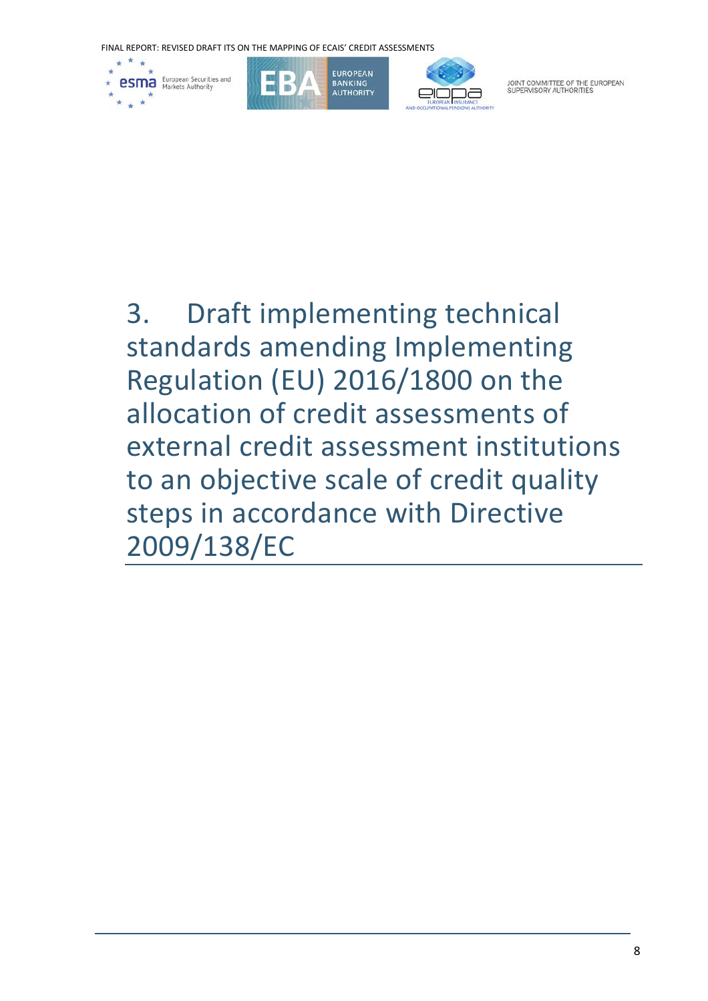

3. Draft implementing technical standards amending Implementing Regulation (EU) 2016/1800 on the allocation of credit assessments of external credit assessment institutions to an objective scale of credit quality steps in accordance with Directive 2009/138/EC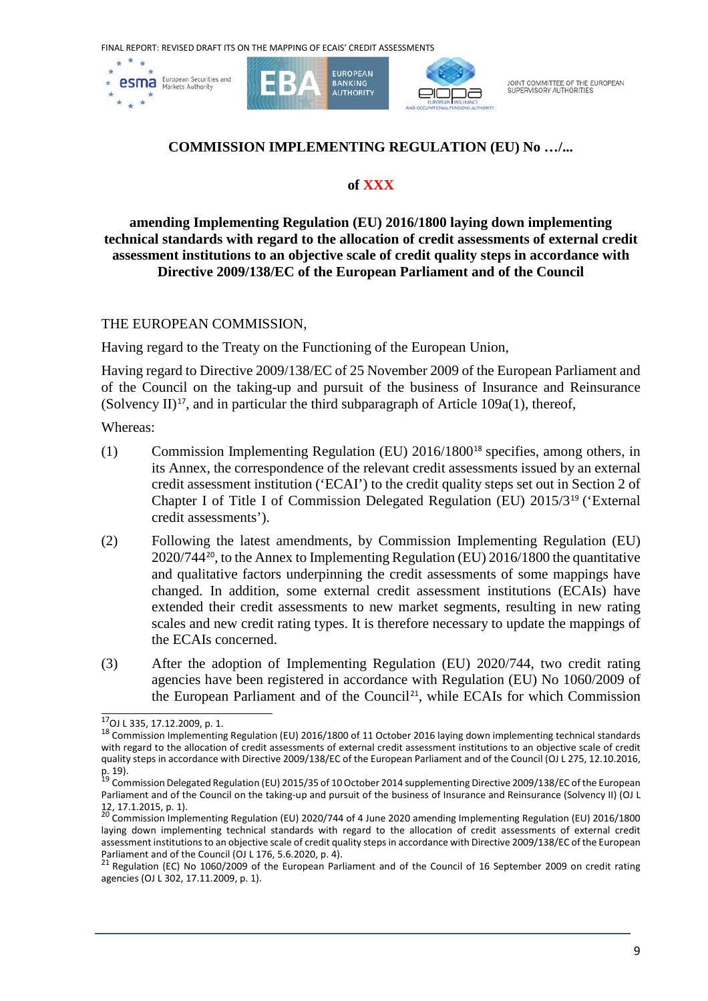

## **COMMISSION IMPLEMENTING REGULATION (EU) No …/...**

## **of XXX**

## **amending Implementing Regulation (EU) 2016/1800 laying down implementing technical standards with regard to the allocation of credit assessments of external credit assessment institutions to an objective scale of credit quality steps in accordance with Directive 2009/138/EC of the European Parliament and of the Council**

THE EUROPEAN COMMISSION,

Having regard to the Treaty on the Functioning of the European Union,

Having regard to Directive 2009/138/EC of 25 November 2009 of the European Parliament and of the Council on the taking-up and pursuit of the business of Insurance and Reinsurance (Solvency II)<sup>[17](#page-8-0)</sup>, and in particular the third subparagraph of Article 109a(1), thereof,

Whereas:

- (1) Commission Implementing Regulation (EU) 2016/1800[18](#page-8-1) specifies, among others, in its Annex, the correspondence of the relevant credit assessments issued by an external credit assessment institution ('ECAI') to the credit quality steps set out in Section 2 of Chapter I of Title I of Commission Delegated Regulation (EU) 2015/3[19](#page-8-2) ('External credit assessments').
- (2) Following the latest amendments, by Commission Implementing Regulation (EU)  $2020/744^{20}$  $2020/744^{20}$ , to the Annex to Implementing Regulation (EU) 2016/1800 the quantitative and qualitative factors underpinning the credit assessments of some mappings have changed. In addition, some external credit assessment institutions (ECAIs) have extended their credit assessments to new market segments, resulting in new rating scales and new credit rating types. It is therefore necessary to update the mappings of the ECAIs concerned.
- (3) After the adoption of Implementing Regulation (EU) 2020/744, two credit rating agencies have been registered in accordance with Regulation (EU) No 1060/2009 of the European Parliament and of the Council<sup>[21](#page-8-4)</sup>, while ECAIs for which Commission

<span id="page-8-0"></span> <sup>17</sup>OJ L 335, 17.12.2009, p. 1.

<span id="page-8-1"></span><sup>18</sup> Commission Implementing Regulation (EU) 2016/1800 of 11 October 2016 laying down implementing technical standards with regard to the allocation of credit assessments of external credit assessment institutions to an objective scale of credit quality steps in accordance with Directive 2009/138/EC of the European Parliament and of the Council (OJ L 275, 12.10.2016,

<span id="page-8-2"></span>p. 19).<br><sup>19</sup> Commission Delegated Regulation (EU) 2015/35 of 10 October 2014 supplementing Directive 2009/138/EC of the European Parliament and of the Council on the taking-up and pursuit of the business of Insurance and Reinsurance (Solvency II) (OJ L 12, 17.1.2015, p. 1).<br><sup>20</sup> Commission Implementing Regulation (EU) 2020/744 of 4 June 2020 amending Implementing Regulation (EU) 2016/1800

<span id="page-8-3"></span>laying down implementing technical standards with regard to the allocation of credit assessments of external credit assessment institutions to an objective scale of credit quality steps in accordance with Directive 2009/138/EC of the European Parliament and of the Council (OJ L 176, 5.6.2020, p. 4).<br><sup>21</sup> Regulation (EC) No 1060/2009 of the European Parliament and of the Council of 16 September 2009 on credit rating

<span id="page-8-4"></span>agencies (OJ L 302, 17.11.2009, p. 1).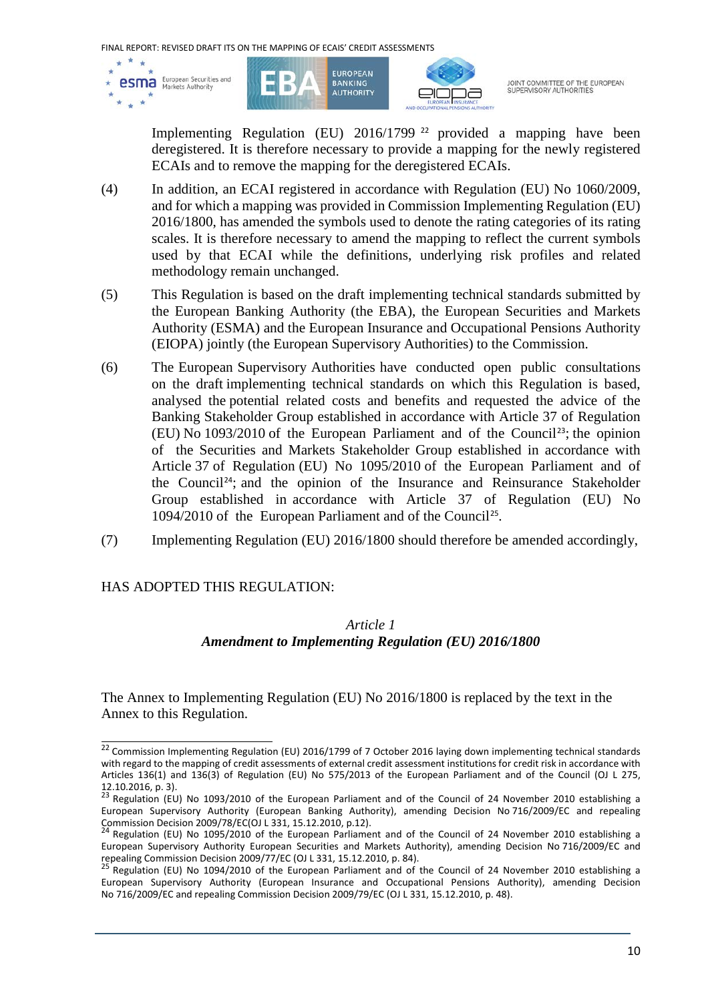

Implementing Regulation (EU) 2016/1799<sup>[22](#page-9-0)</sup> provided a mapping have been deregistered. It is therefore necessary to provide a mapping for the newly registered ECAIs and to remove the mapping for the deregistered ECAIs.

- (4) In addition, an ECAI registered in accordance with Regulation (EU) No 1060/2009, and for which a mapping was provided in Commission Implementing Regulation (EU) 2016/1800, has amended the symbols used to denote the rating categories of its rating scales. It is therefore necessary to amend the mapping to reflect the current symbols used by that ECAI while the definitions, underlying risk profiles and related methodology remain unchanged.
- (5) This Regulation is based on the draft implementing technical standards submitted by the European Banking Authority (the EBA), the European Securities and Markets Authority (ESMA) and the European Insurance and Occupational Pensions Authority (EIOPA) jointly (the European Supervisory Authorities) to the Commission.
- (6) The European Supervisory Authorities have conducted open public consultations on the draft implementing technical standards on which this Regulation is based, analysed the potential related costs and benefits and requested the advice of the Banking Stakeholder Group established in accordance with Article 37 of Regulation (EU) No 1093/2010 of the European Parliament and of the Council[23](#page-9-1); the opinion of the Securities and Markets Stakeholder Group established in accordance with Article 37 of Regulation (EU) No 1095/2010 of the European Parliament and of the Council[24](#page-9-2); and the opinion of the Insurance and Reinsurance Stakeholder Group established in accordance with Article 37 of Regulation (EU) No 1094/2010 of the European Parliament and of the Council[25](#page-9-3).
- (7) Implementing Regulation (EU) 2016/1800 should therefore be amended accordingly,

## HAS ADOPTED THIS REGULATION:

## *Article 1 Amendment to Implementing Regulation (EU) 2016/1800*

The Annex to Implementing Regulation (EU) No 2016/1800 is replaced by the text in the Annex to this Regulation.

<span id="page-9-0"></span><sup>&</sup>lt;sup>22</sup> Commission Implementing Regulation (EU) 2016/1799 of 7 October 2016 laying down implementing technical standards with regard to the mapping of credit assessments of external credit assessment institutions for credit risk in accordance with Articles 136(1) and 136(3) of Regulation (EU) No 575/2013 of the European Parliament and of the Council (OJ L 275,

<span id="page-9-1"></span><sup>12.10.2016,</sup> p. 3).<br><sup>23</sup> Regulation (EU) No 1093/2010 of the European Parliament and of the Council of 24 November 2010 establishing a European Supervisory Authority (European Banking Authority), amending Decision No 716/2009/EC and repealing Commission Decision 2009/78/EC(OJ L 331, 15.12.2010, p.12). <sup>24</sup> Regulation (EU) No 1095/2010 of the European Parliament and of the Council of 24 November 2010 establishing a

<span id="page-9-2"></span>European Supervisory Authority European Securities and Markets Authority), amending Decision No 716/2009/EC and repealing Commission Decision 2009/77/EC (OJ L 331, 15.12.2010, p. 84).<br><sup>25</sup> Regulation (EU) No 1094/2010 of the European Parliament and of the Council of 24 November 2010 establishing a

<span id="page-9-3"></span>European Supervisory Authority (European Insurance and Occupational Pensions Authority), amending Decision No 716/2009/EC and repealing Commission Decision 2009/79/EC (OJ L 331, 15.12.2010, p. 48).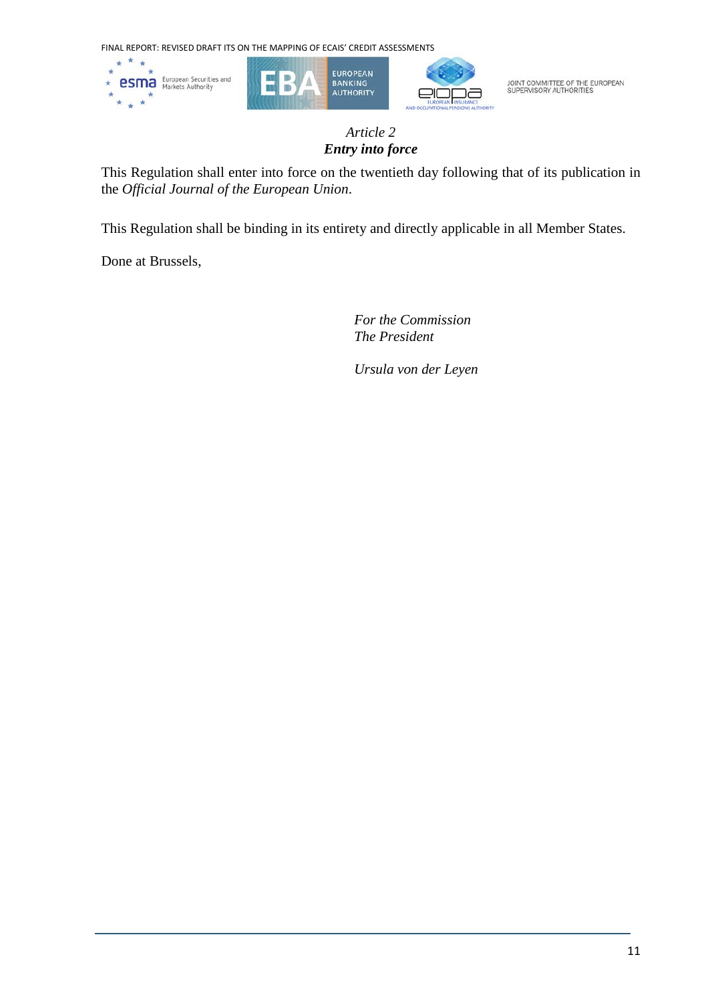

## *Article 2 Entry into force*

This Regulation shall enter into force on the twentieth day following that of its publication in the *Official Journal of the European Union*.

This Regulation shall be binding in its entirety and directly applicable in all Member States.

Done at Brussels,

*For the Commission The President*

*Ursula von der Leyen*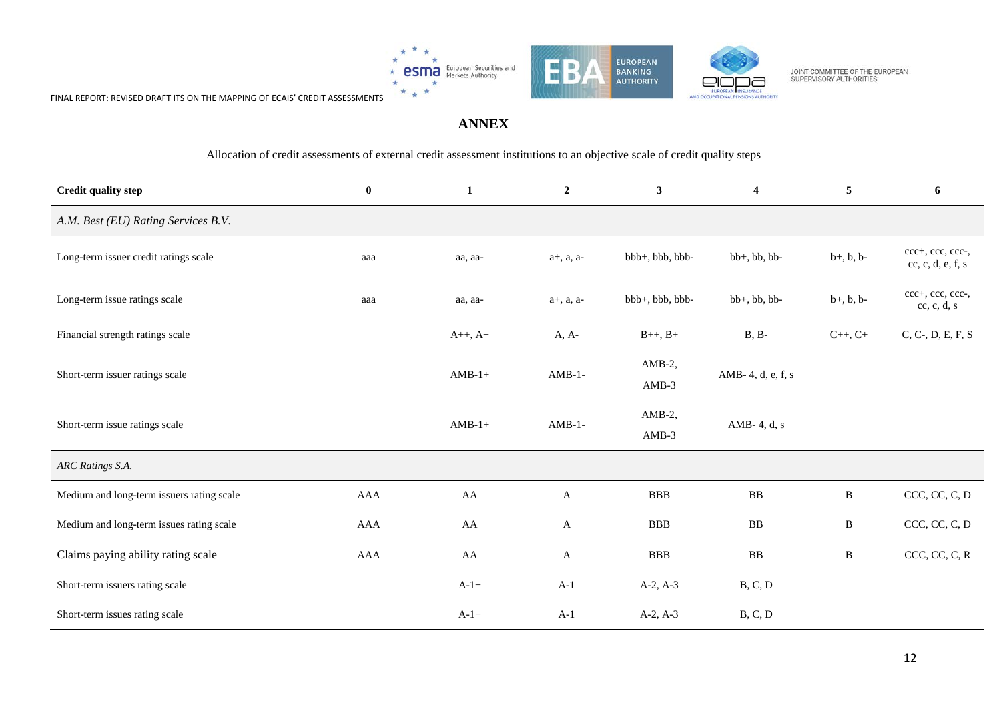



FINAL REPORT: REVISED DRAFT ITS ON THE MAPPING OF ECAIS' CREDIT ASSESSMENTS

## **ANNEX**

Allocation of credit assessments of external credit assessment institutions to an objective scale of credit quality steps

| Credit quality step                       | $\pmb{0}$  | $\mathbf{1}$ | $\boldsymbol{2}$  | $\mathbf{3}$         | $\overline{\mathbf{4}}$ | 5                  | 6                                     |
|-------------------------------------------|------------|--------------|-------------------|----------------------|-------------------------|--------------------|---------------------------------------|
| A.M. Best (EU) Rating Services B.V.       |            |              |                   |                      |                         |                    |                                       |
| Long-term issuer credit ratings scale     | aaa        | aa, aa-      | $a+$ , $a$ , $a-$ | bbb+, bbb, bbb-      | bb+, bb, bb-            | $b+, b, b-$        | ccc+, ccc, ccc-,<br>cc, c, d, e, f, s |
| Long-term issue ratings scale             | aaa        | aa, aa-      | $a+$ , $a$ , $a-$ | bbb+, bbb, bbb-      | $bb+, bb, bb$           | $b+, b, b-$        | ccc+, ccc, ccc-,<br>cc, c, d, s       |
| Financial strength ratings scale          |            | $A++, A+$    | A, A-             | $B_{++}$ , $B_{+}$   | $B, B-$                 | $C_{++}$ , $C_{+}$ | $C, C-, D, E, F, S$                   |
| Short-term issuer ratings scale           |            | $AMB-1+$     | $AMB-1-$          | $AMB-2$ ,<br>$AMB-3$ | AMB- 4, d, e, f, s      |                    |                                       |
| Short-term issue ratings scale            |            | $AMB-1+$     | $AMB-1-$          | AMB-2,<br>$AMB-3$    | AMB-4, d, s             |                    |                                       |
| ARC Ratings S.A.                          |            |              |                   |                      |                         |                    |                                       |
| Medium and long-term issuers rating scale | <b>AAA</b> | AA           | $\mathbf{A}$      | <b>BBB</b>           | $_{\rm BB}$             | $\, {\bf B}$       | CCC, CC, C, D                         |
| Medium and long-term issues rating scale  | <b>AAA</b> | ${\bf AA}$   | $\mathbf{A}$      | <b>BBB</b>           | ${\bf BB}$              | $\, {\bf B}$       | CCC, CC, C, D                         |
| Claims paying ability rating scale        | AAA        | AA           | $\mathbf{A}$      | $_{\rm BBB}$         | ${\bf BB}$              | $\, {\bf B}$       | CCC, CC, C, R                         |
| Short-term issuers rating scale           |            | $A-1+$       | $A-1$             | $A-2, A-3$           | B, C, D                 |                    |                                       |
| Short-term issues rating scale            |            | $A-1+$       | $A-1$             | $A-2, A-3$           | B, C, D                 |                    |                                       |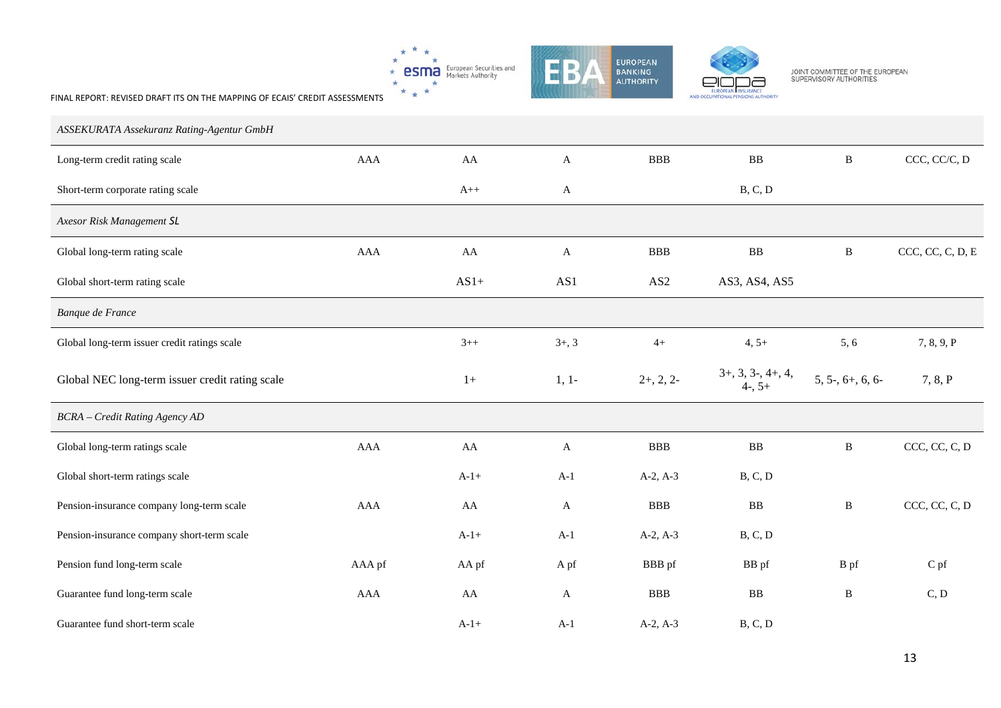



### FINAL REPORT: REVISED DRAFT ITS ON THE MAPPING OF ECAIS' CREDIT ASSESSMENTS

| ASSEKURATA Assekuranz Rating-Agentur GmbH       |            |        |              |                 |                                 |                  |                  |
|-------------------------------------------------|------------|--------|--------------|-----------------|---------------------------------|------------------|------------------|
| Long-term credit rating scale                   | <b>AAA</b> | AA     | A            | <b>BBB</b>      | ${\bf BB}$                      | B                | CCC, CC/C, D     |
| Short-term corporate rating scale               |            | $A++$  | A            |                 | B, C, D                         |                  |                  |
| Axesor Risk Management SL                       |            |        |              |                 |                                 |                  |                  |
| Global long-term rating scale                   | <b>AAA</b> | AA     | $\mathbf{A}$ | <b>BBB</b>      | ${\bf BB}$                      | B                | CCC, CC, C, D, E |
| Global short-term rating scale                  |            | $AS1+$ | AS1          | AS <sub>2</sub> | AS3, AS4, AS5                   |                  |                  |
| Banque de France                                |            |        |              |                 |                                 |                  |                  |
| Global long-term issuer credit ratings scale    |            | $3++$  | $3+, 3$      | $4+$            | $4, 5+$                         | 5, 6             | 7, 8, 9, P       |
| Global NEC long-term issuer credit rating scale |            | $1+$   | $1, 1-$      | $2+, 2, 2-$     | $3+, 3, 3-, 4+, 4,$<br>$4-, 5+$ | $5, 5, 6+, 6, 6$ | 7, 8, P          |
| <b>BCRA</b> - Credit Rating Agency AD           |            |        |              |                 |                                 |                  |                  |
| Global long-term ratings scale                  | AAA        | AA     | A            | <b>BBB</b>      | ${\bf BB}$                      | B                | CCC, CC, C, D    |
| Global short-term ratings scale                 |            | $A-1+$ | $A-1$        | $A-2, A-3$      | B, C, D                         |                  |                  |
| Pension-insurance company long-term scale       | <b>AAA</b> | AA     | $\mathbf{A}$ | <b>BBB</b>      | ${\bf BB}$                      | $\, {\bf B}$     | CCC, CC, C, D    |
| Pension-insurance company short-term scale      |            | $A-1+$ | $A-1$        | $A-2, A-3$      | B, C, D                         |                  |                  |
| Pension fund long-term scale                    | AAA pf     | AA pf  | A pf         | BBB pf          | BB pf                           | B pf             | $C$ pf           |
| Guarantee fund long-term scale                  | AAA        | AA     | $\mathbf{A}$ | BBB             | ${\bf BB}$                      | B                | C, D             |
| Guarantee fund short-term scale                 |            | $A-1+$ | $A-1$        | $A-2, A-3$      | B, C, D                         |                  |                  |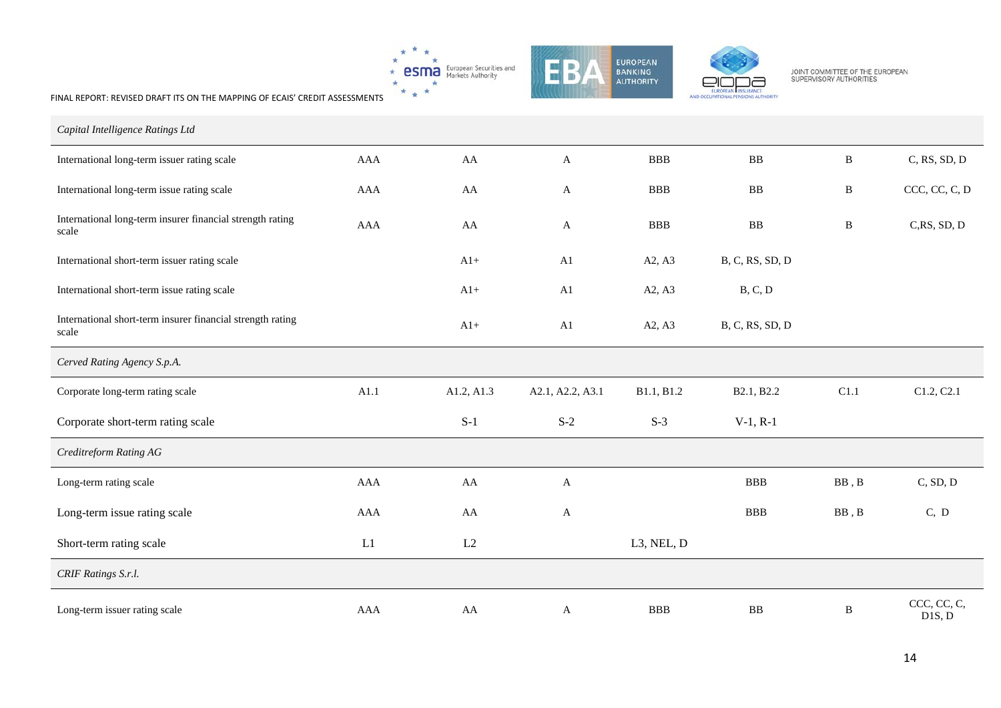





| Capital Intelligence Ratings Ltd                                    |      |            |                  |              |                 |              |                        |
|---------------------------------------------------------------------|------|------------|------------------|--------------|-----------------|--------------|------------------------|
| International long-term issuer rating scale                         | AAA  | AA         | A                | BBB          | ${\bf BB}$      | $\, {\bf B}$ | C, RS, SD, D           |
| International long-term issue rating scale                          | AAA  | AA         | A                | $_{\rm BBB}$ | ${\bf BB}$      | $\, {\bf B}$ | CCC, CC, C, D          |
| International long-term insurer financial strength rating<br>scale  | AAA  | AA         | $\mathbf{A}$     | <b>BBB</b>   | ${\bf BB}$      | $\, {\bf B}$ | C,RS, SD, D            |
| International short-term issuer rating scale                        |      | $A1+$      | A1               | A2, A3       | B, C, RS, SD, D |              |                        |
| International short-term issue rating scale                         |      | $A1+$      | A1               | A2, A3       | B, C, D         |              |                        |
| International short-term insurer financial strength rating<br>scale |      | $A1+$      | A1               | A2, A3       | B, C, RS, SD, D |              |                        |
| Cerved Rating Agency S.p.A.                                         |      |            |                  |              |                 |              |                        |
| Corporate long-term rating scale                                    | A1.1 | A1.2, A1.3 | A2.1, A2.2, A3.1 | B1.1, B1.2   | B2.1, B2.2      | C1.1         | C1.2, C2.1             |
| Corporate short-term rating scale                                   |      | $S-1$      | $S-2$            | $S-3$        | $V-1, R-1$      |              |                        |
| Creditreform Rating AG                                              |      |            |                  |              |                 |              |                        |
| Long-term rating scale                                              | AAA  | AA         | A                |              | BBB             | BB, B        | C, SD, D               |
| Long-term issue rating scale                                        | AAA  | AA         | $\mathbf{A}$     |              | <b>BBB</b>      | BB, B        | C, D                   |
| Short-term rating scale                                             | L1   | L2         |                  | L3, NEL, D   |                 |              |                        |
| CRIF Ratings S.r.l.                                                 |      |            |                  |              |                 |              |                        |
| Long-term issuer rating scale                                       | AAA  | AA         | A                | <b>BBB</b>   | ${\bf BB}$      | B            | CCC, CC, C,<br>$D1C$ D |

D1S, D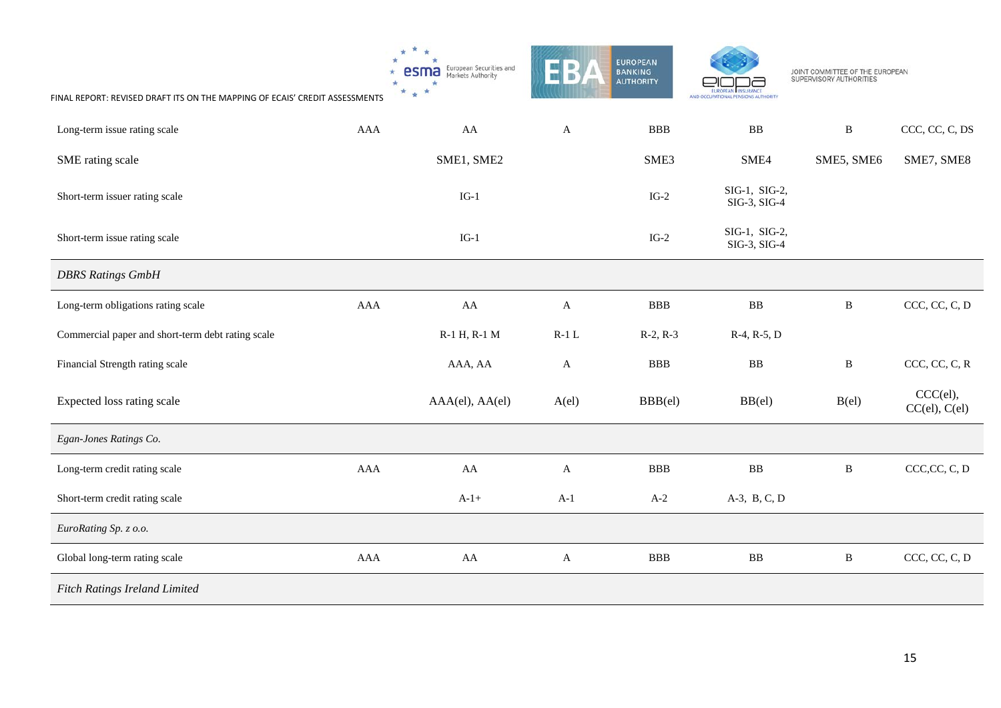





#### FINAL REPORT: REVISED DRAFT ITS ON THE MAPPING OF ECAIS' CREDIT ASSESSMENTS

|            |                 |              |                  | ${\bf BB}$                                       | $\, {\bf B}$    | CCC, CC, C, DS                  |
|------------|-----------------|--------------|------------------|--------------------------------------------------|-----------------|---------------------------------|
|            | SME1, SME2      |              | SME <sub>3</sub> | SME4                                             | SME5, SME6      | SME7, SME8                      |
|            | $IG-1$          |              | $IG-2$           | SIG-1, SIG-2,<br>SIG-3, SIG-4                    |                 |                                 |
|            | $IG-1$          |              | $IG-2$           | SIG-1, SIG-2,<br>SIG-3, SIG-4                    |                 |                                 |
|            |                 |              |                  |                                                  |                 |                                 |
| <b>AAA</b> | AA              | $\mathbf{A}$ | $_{\rm BBB}$     | ${\bf BB}$                                       | $\, {\bf B}$    | CCC, CC, C, D                   |
|            | R-1 H, R-1 M    | $R-1$ L      | $R-2, R-3$       | $R-4, R-5, D$                                    |                 |                                 |
|            | AAA, AA         | A            | <b>BBB</b>       | ${\bf BB}$                                       | $\, {\bf B}$    | CCC, CC, C, R                   |
|            | AAA(el), AA(el) | $A$ (el)     | $BBB$ (el)       | $BB$ (el)                                        | $B$ (el)        | CCC(el),<br>$CC$ (el), $C$ (el) |
|            |                 |              |                  |                                                  |                 |                                 |
| <b>AAA</b> | AA              | $\mathbf{A}$ | $_{\rm BBB}$     | ${\bf BB}$                                       | $\, {\bf B}$    | CCC, CC, C, D                   |
|            | $A-1+$          | $A-1$        | $A-2$            | A-3, B, C, D                                     |                 |                                 |
|            |                 |              |                  |                                                  |                 |                                 |
| <b>AAA</b> | ${\bf AA}$      | $\mathbf{A}$ | $_{\rm BBB}$     | $\rm BB$                                         | $\, {\bf B} \,$ | CCC, CC, C, D                   |
|            |                 |              |                  |                                                  |                 |                                 |
|            |                 |              |                  | <b>AAA</b><br>AA<br>$_{\rm BBB}$<br>$\mathbf{A}$ |                 |                                 |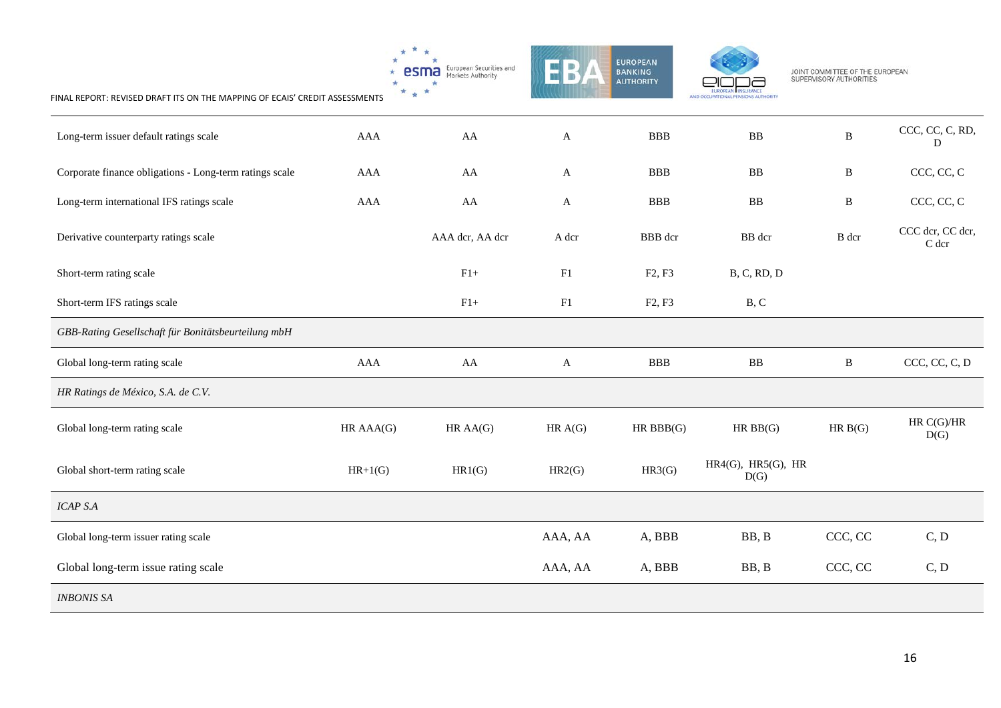

 $\mathcal{L}$ 





JOINT COMMITTEE OF THE EUROPEAN<br>SUPERVISORY AUTHORITIES

| Long-term issuer default ratings scale                  | AAA        | AA              | A            | <b>BBB</b>                      | ${\bf BB}$                         | $\, {\bf B}$ | CCC, CC, C, RD,<br>D        |
|---------------------------------------------------------|------------|-----------------|--------------|---------------------------------|------------------------------------|--------------|-----------------------------|
| Corporate finance obligations - Long-term ratings scale | AAA        | AA              | $\mathbf{A}$ | <b>BBB</b>                      | ${\bf BB}$                         | $\, {\bf B}$ | CCC, CC, C                  |
| Long-term international IFS ratings scale               | <b>AAA</b> | AA              | $\mathbf{A}$ | <b>BBB</b>                      | ${\bf BB}$                         | $\, {\bf B}$ | CCC, CC, C                  |
| Derivative counterparty ratings scale                   |            | AAA dcr, AA dcr | A dcr        | BBB dcr                         | BB dcr                             | <b>B</b> dcr | CCC der, CC der,<br>$C$ dcr |
| Short-term rating scale                                 |            | $F1+$           | F1           | F <sub>2</sub> , F <sub>3</sub> | B, C, RD, D                        |              |                             |
| Short-term IFS ratings scale                            |            | $F1+$           | F1           | F <sub>2</sub> , F <sub>3</sub> | B, C                               |              |                             |
| GBB-Rating Gesellschaft für Bonitätsbeurteilung mbH     |            |                 |              |                                 |                                    |              |                             |
| Global long-term rating scale                           | <b>AAA</b> | AA              | $\mathbf{A}$ | <b>BBB</b>                      | ${\bf BB}$                         | $\, {\bf B}$ | CCC, CC, C, D               |
| HR Ratings de México, S.A. de C.V.                      |            |                 |              |                                 |                                    |              |                             |
| Global long-term rating scale                           | HR AAA(G)  | HRAA(G)         | HR A(G)      | $HR$ $BBB(G)$                   | HR BB(G)                           | HR B(G)      | HR C(G)/HR<br>D(G)          |
| Global short-term rating scale                          | $HR+1(G)$  | HR1(G)          | HR2(G)       | HR3(G)                          | $HR4(G)$ , $HR5(G)$ , $HR$<br>D(G) |              |                             |
| <b>ICAP S.A</b>                                         |            |                 |              |                                 |                                    |              |                             |
| Global long-term issuer rating scale                    |            |                 | AAA, AA      | A, BBB                          | BB, B                              | CCC, CC      | C, D                        |
| Global long-term issue rating scale                     |            |                 | AAA, AA      | A, BBB                          | BB, B                              | CCC, CC      | C, D                        |
| <b>INBONIS SA</b>                                       |            |                 |              |                                 |                                    |              |                             |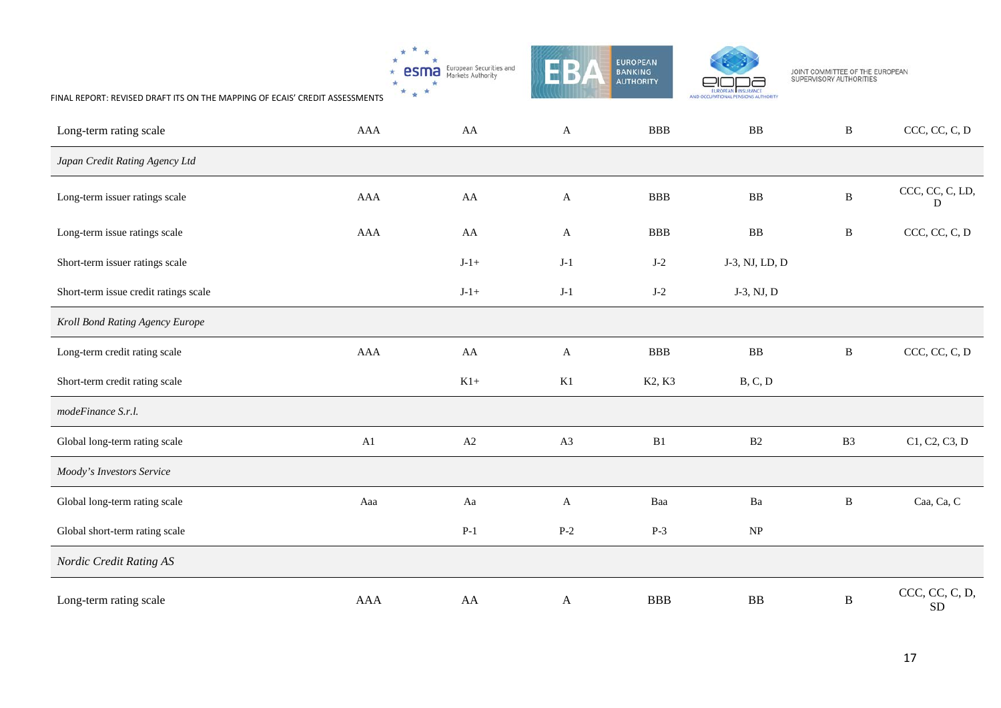





#### FINAL REPORT: REVISED DRAFT ITS ON THE MAPPING OF ECAIS' CREDIT ASSESSMENTS

| Long-term rating scale                | AAA        | ${\rm AA}$ | $\bf{A}$     | $_{\rm BBB}$                    | ${\bf BB}$                      | $\, {\bf B}$   | CCC, CC, C, D               |
|---------------------------------------|------------|------------|--------------|---------------------------------|---------------------------------|----------------|-----------------------------|
| Japan Credit Rating Agency Ltd        |            |            |              |                                 |                                 |                |                             |
| Long-term issuer ratings scale        | AAA        | ${\bf AA}$ | $\bf{A}$     | BBB                             | ${\bf BB}$                      | $\, {\bf B}$   | CCC, CC, C, LD,<br>D        |
| Long-term issue ratings scale         | <b>AAA</b> | AA         | $\mathbf{A}$ | <b>BBB</b>                      | ${\bf BB}$                      | B              | CCC, CC, C, D               |
| Short-term issuer ratings scale       |            | $J-1+$     | $J-1$        | $J-2$                           | J-3, NJ, LD, D                  |                |                             |
| Short-term issue credit ratings scale |            | $J-1+$     | $J-1$        | $J-2$                           | J-3, NJ, D                      |                |                             |
| Kroll Bond Rating Agency Europe       |            |            |              |                                 |                                 |                |                             |
| Long-term credit rating scale         | <b>AAA</b> | AA         | $\mathbf{A}$ | <b>BBB</b>                      | ${\bf BB}$                      | B              | CCC, CC, C, D               |
| Short-term credit rating scale        |            | $K1+$      | K1           | K <sub>2</sub> , K <sub>3</sub> | B, C, D                         |                |                             |
| modeFinance S.r.l.                    |            |            |              |                                 |                                 |                |                             |
| Global long-term rating scale         | A1         | A2         | A3           | B1                              | B2                              | B <sub>3</sub> | C1, C2, C3, D               |
| Moody's Investors Service             |            |            |              |                                 |                                 |                |                             |
| Global long-term rating scale         | Aaa        | Aa         | $\mathbf{A}$ | Baa                             | $\rm Ba$                        | $\, {\bf B}$   | Caa, Ca, C                  |
| Global short-term rating scale        |            | $P-1$      | $P-2$        | $P-3$                           | $\ensuremath{\text{NP}}\xspace$ |                |                             |
| <b>Nordic Credit Rating AS</b>        |            |            |              |                                 |                                 |                |                             |
| Long-term rating scale                | <b>AAA</b> | AA         | $\mathbf{A}$ | <b>BBB</b>                      | BB                              | $\, {\bf B}$   | CCC, CC, C, D,<br><b>SD</b> |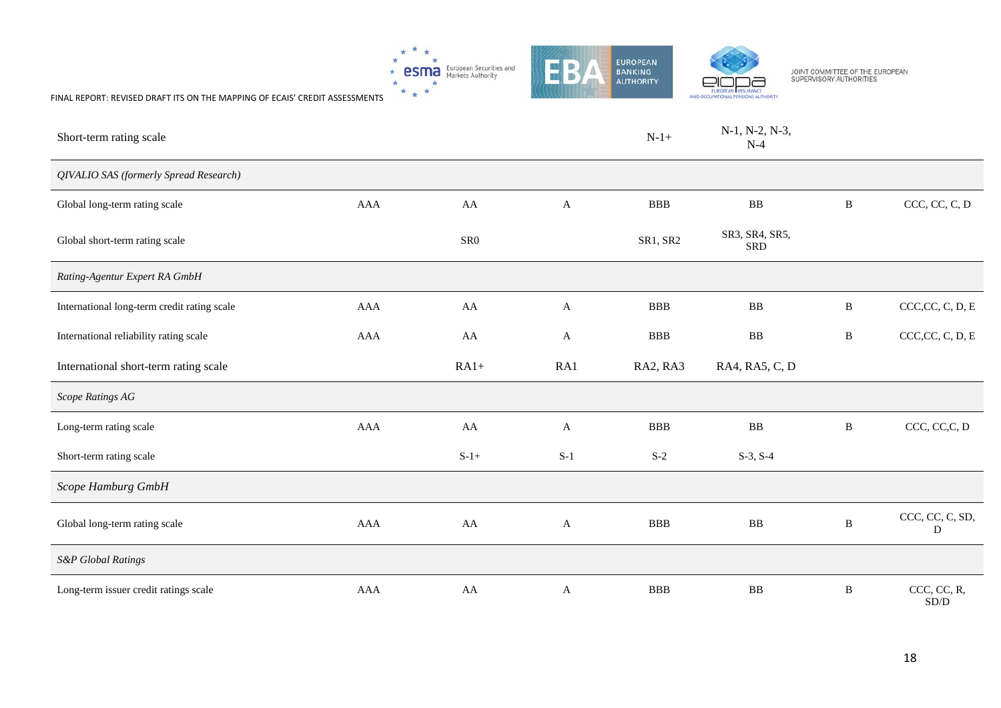



FINAL REPORT: REVISED DRAFT ITS ON THE MAPPING OF ECAIS' CREDIT ASSESSMENTS

| Short-term rating scale                     |            |                 |              | $N-1+$     | N-1, N-2, N-3,<br>$N-4$      |              |                                           |
|---------------------------------------------|------------|-----------------|--------------|------------|------------------------------|--------------|-------------------------------------------|
| QIVALIO SAS (formerly Spread Research)      |            |                 |              |            |                              |              |                                           |
| Global long-term rating scale               | <b>AAA</b> | AA              | A            | <b>BBB</b> | ${\bf BB}$                   | B            | CCC, CC, C, D                             |
| Global short-term rating scale              |            | SR <sub>0</sub> |              | SR1, SR2   | SR3, SR4, SR5,<br><b>SRD</b> |              |                                           |
| Rating-Agentur Expert RA GmbH               |            |                 |              |            |                              |              |                                           |
| International long-term credit rating scale | <b>AAA</b> | AA              | $\mathbf{A}$ | <b>BBB</b> | ${\bf BB}$                   | B            | CCC, CC, C, D, E                          |
| International reliability rating scale      | <b>AAA</b> | AA              | A            | <b>BBB</b> | ${\bf BB}$                   | B            | CCC, CC, C, D, E                          |
| International short-term rating scale       |            | $RA1+$          | RA1          | RA2, RA3   | RA4, RA5, C, D               |              |                                           |
| Scope Ratings AG                            |            |                 |              |            |                              |              |                                           |
| Long-term rating scale                      | AAA        | AA              | $\mathbf{A}$ | <b>BBB</b> | ${\bf BB}$                   | B            | CCC, CC, C, D                             |
| Short-term rating scale                     |            | $S-1+$          | $S-1$        | $S-2$      | $S-3, S-4$                   |              |                                           |
| Scope Hamburg GmbH                          |            |                 |              |            |                              |              |                                           |
| Global long-term rating scale               | <b>AAA</b> | AA              | $\bf{A}$     | <b>BBB</b> | ${\bf BB}$                   | $\, {\bf B}$ | CCC, CC, C, SD,<br>D                      |
| S&P Global Ratings                          |            |                 |              |            |                              |              |                                           |
| Long-term issuer credit ratings scale       | <b>AAA</b> | AA              | $\mathbf{A}$ | <b>BBB</b> | ${\bf BB}$                   | B            | CCC, CC, R,<br>$\mathrm{SD} / \mathrm{D}$ |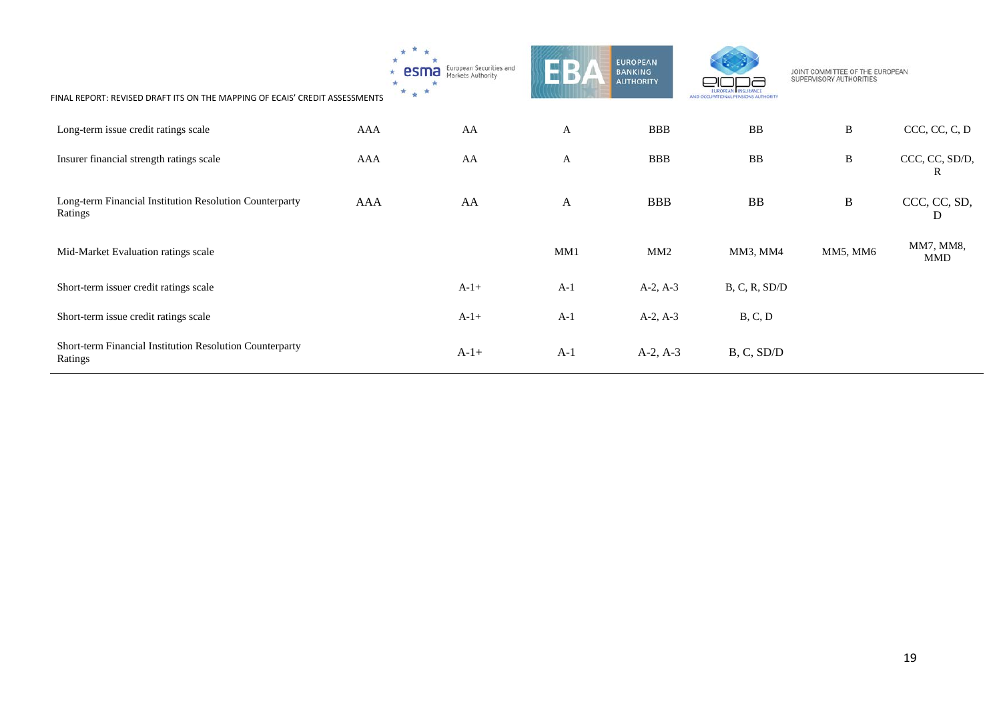| FINAL REPORT: REVISED DRAFT ITS ON THE MAPPING OF ECAIS' CREDIT ASSESSMENTS |     | $\star$<br>European Securities and<br>Markets Authority<br>esma<br>$\star$<br>$\Delta \tau$ | EE<br>$\mathbb{B}$ | <b>EUROPEAN</b><br><b>BANKING</b><br><b>AUTHORITY</b> | AND OCCUPATIONAL PENSIONS AUTHORITY | JOINT COMMITTEE OF THE EUROPEAN<br>SUPERVISORY AUTHORITIES |                     |
|-----------------------------------------------------------------------------|-----|---------------------------------------------------------------------------------------------|--------------------|-------------------------------------------------------|-------------------------------------|------------------------------------------------------------|---------------------|
| Long-term issue credit ratings scale                                        | AAA | AA                                                                                          | A                  | <b>BBB</b>                                            | <b>BB</b>                           | B                                                          | CCC, CC, C, D       |
| Insurer financial strength ratings scale                                    | AAA | AA                                                                                          | A                  | <b>BBB</b>                                            | BB                                  | $\, {\bf B}$                                               | CCC, CC, SD/D,<br>R |
| Long-term Financial Institution Resolution Counterparty<br>Ratings          | AAA | AA                                                                                          | A                  | <b>BBB</b>                                            | <b>BB</b>                           | $\, {\bf B}$                                               | CCC, CC, SD,<br>D   |
| Mid-Market Evaluation ratings scale                                         |     |                                                                                             | MM1                | MM <sub>2</sub>                                       | MM3, MM4                            | MM5, MM6                                                   | MM7, MM8,<br>MMD    |
| Short-term issuer credit ratings scale                                      |     | $A-1+$                                                                                      | $A-1$              | $A-2, A-3$                                            | B, C, R, SD/D                       |                                                            |                     |
| Short-term issue credit ratings scale                                       |     | $A-1+$                                                                                      | $A-1$              | $A-2, A-3$                                            | B, C, D                             |                                                            |                     |
| Short-term Financial Institution Resolution Counterparty<br>Ratings         |     | $A-1+$                                                                                      | $A-1$              | $A-2, A-3$                                            | B, C, SD/D                          |                                                            |                     |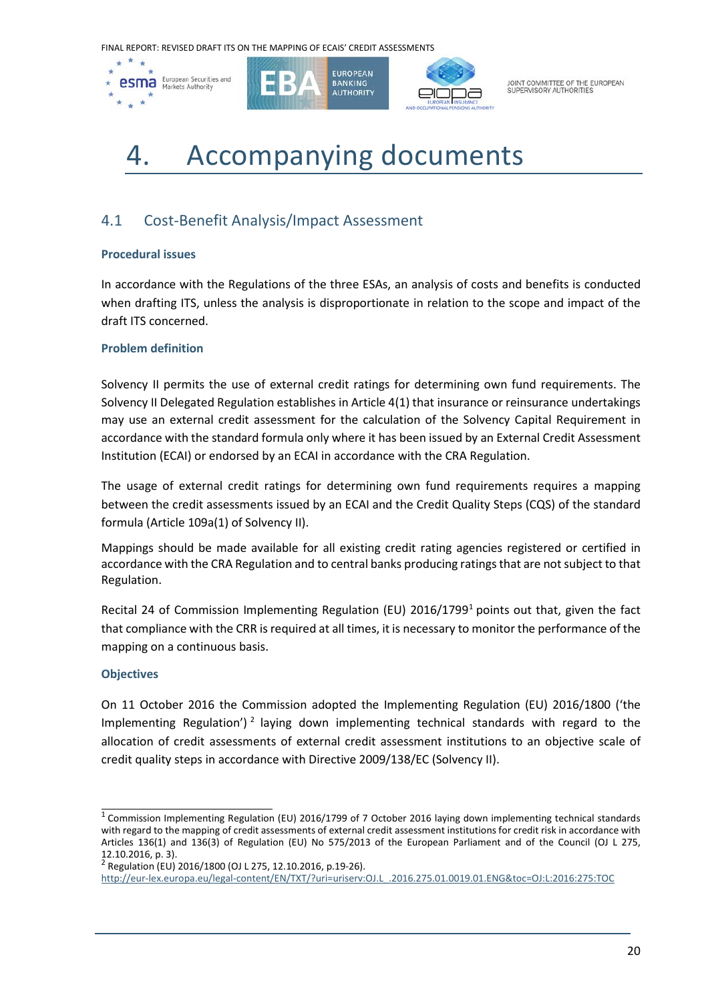

JOINT COMMITTEE OF THE EUROPEAN<br>SUPERVISORY AUTHORITIES

## 4. Accompanying documents

## 4.1 Cost-Benefit Analysis/Impact Assessment

### **Procedural issues**

In accordance with the Regulations of the three ESAs, an analysis of costs and benefits is conducted when drafting ITS, unless the analysis is disproportionate in relation to the scope and impact of the draft ITS concerned.

## **Problem definition**

Solvency II permits the use of external credit ratings for determining own fund requirements. The Solvency II Delegated Regulation establishes in Article 4(1) that insurance or reinsurance undertakings may use an external credit assessment for the calculation of the Solvency Capital Requirement in accordance with the standard formula only where it has been issued by an External Credit Assessment Institution (ECAI) or endorsed by an ECAI in accordance with the CRA Regulation.

The usage of external credit ratings for determining own fund requirements requires a mapping between the credit assessments issued by an ECAI and the Credit Quality Steps (CQS) of the standard formula (Article 109a(1) of Solvency II).

Mappings should be made available for all existing credit rating agencies registered or certified in accordance with the CRA Regulation and to central banks producing ratings that are not subject to that Regulation.

Recital 24 of Commission Implementing Regulation (EU)  $2016/1799<sup>1</sup>$  $2016/1799<sup>1</sup>$  $2016/1799<sup>1</sup>$  points out that, given the fact that compliance with the CRR is required at all times, it is necessary to monitor the performance of the mapping on a continuous basis.

## **Objectives**

On 11 October 2016 the Commission adopted the Implementing Regulation (EU) 2016/1800 ('the Implementing Regulation')<sup>[2](#page-19-1)</sup> laying down implementing technical standards with regard to the allocation of credit assessments of external credit assessment institutions to an objective scale of credit quality steps in accordance with Directive 2009/138/EC (Solvency II).

<span id="page-19-0"></span> <sup>1</sup> Commission Implementing Regulation (EU) 2016/1799 of 7 October 2016 laying down implementing technical standards with regard to the mapping of credit assessments of external credit assessment institutions for credit risk in accordance with Articles 136(1) and 136(3) of Regulation (EU) No 575/2013 of the European Parliament and of the Council (OJ L 275,

<span id="page-19-1"></span><sup>12.10.2016,</sup> p. 3). <sup>2</sup> Regulation (EU) 2016/1800 (OJ L 275, 12.10.2016, p.19-26).

[http://eur-lex.europa.eu/legal-content/EN/TXT/?uri=uriserv:OJ.L\\_.2016.275.01.0019.01.ENG&toc=OJ:L:2016:275:TOC](http://eur-lex.europa.eu/legal-content/EN/TXT/?uri=uriserv:OJ.L_.2016.275.01.0019.01.ENG&toc=OJ:L:2016:275:TOC)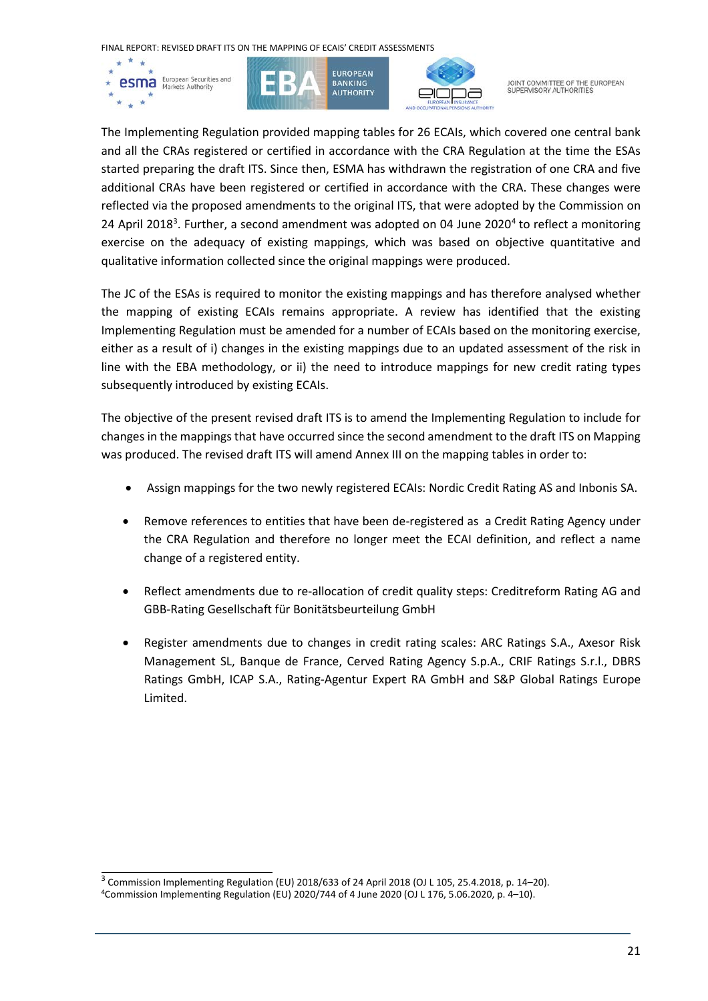FINAL REPORT: REVISED DRAFT ITS ON THE MAPPING OF ECAIS' CREDIT ASSESSMENTS<br>  $\star \star \star$ 







JOINT COMMITTEE OF THE EUROPEAN<br>SUPERVISORY AUTHORITIES

The Implementing Regulation provided mapping tables for 26 ECAIs, which covered one central bank and all the CRAs registered or certified in accordance with the CRA Regulation at the time the ESAs started preparing the draft ITS. Since then, ESMA has withdrawn the registration of one CRA and five additional CRAs have been registered or certified in accordance with the CRA. These changes were reflected via the proposed amendments to the original ITS, that were adopted by the Commission on 24 April 2018<sup>[3](#page-20-0)</sup>. Further, a second amendment was adopted on 0[4](#page-20-1) June 2020<sup>4</sup> to reflect a monitoring exercise on the adequacy of existing mappings, which was based on objective quantitative and qualitative information collected since the original mappings were produced.

The JC of the ESAs is required to monitor the existing mappings and has therefore analysed whether the mapping of existing ECAIs remains appropriate. A review has identified that the existing Implementing Regulation must be amended for a number of ECAIs based on the monitoring exercise, either as a result of i) changes in the existing mappings due to an updated assessment of the risk in line with the EBA methodology, or ii) the need to introduce mappings for new credit rating types subsequently introduced by existing ECAIs.

The objective of the present revised draft ITS is to amend the Implementing Regulation to include for changes in the mappings that have occurred since the second amendment to the draft ITS on Mapping was produced. The revised draft ITS will amend Annex III on the mapping tables in order to:

- Assign mappings for the two newly registered ECAIs: Nordic Credit Rating AS and Inbonis SA.
- Remove references to entities that have been de-registered as a Credit Rating Agency under the CRA Regulation and therefore no longer meet the ECAI definition, and reflect a name change of a registered entity.
- Reflect amendments due to re-allocation of credit quality steps: Creditreform Rating AG and GBB-Rating Gesellschaft für Bonitätsbeurteilung GmbH
- Register amendments due to changes in credit rating scales: ARC Ratings S.A., Axesor Risk Management SL, Banque de France, Cerved Rating Agency S.p.A., CRIF Ratings S.r.l., DBRS Ratings GmbH, ICAP S.A., Rating-Agentur Expert RA GmbH and S&P Global Ratings Europe Limited.

<span id="page-20-1"></span><span id="page-20-0"></span><sup>&</sup>lt;sup>3</sup> Commission Implementing Regulation (EU) 2018/633 of 24 April 2018 (OJ L 105, 25.4.2018, p. 14-20). 4Commission Implementing Regulation (EU) 2020/744 of 4 June 2020 (OJ L 176, 5.06.2020, p. 4–10).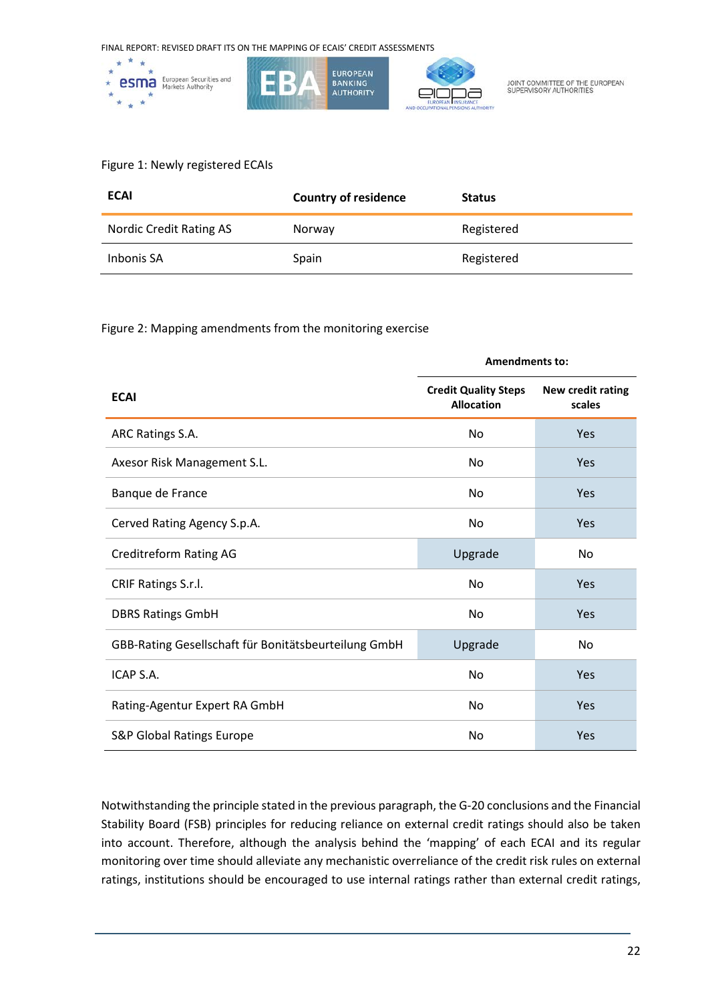

## Figure 1: Newly registered ECAIs

| <b>ECAI</b>             | <b>Country of residence</b> | <b>Status</b> |
|-------------------------|-----------------------------|---------------|
| Nordic Credit Rating AS | Norway                      | Registered    |
| Inbonis SA              | Spain                       | Registered    |

**Amendments to:**

## Figure 2: Mapping amendments from the monitoring exercise

|                                                      | Aniendrients to:                                 |                             |
|------------------------------------------------------|--------------------------------------------------|-----------------------------|
| <b>ECAI</b>                                          | <b>Credit Quality Steps</b><br><b>Allocation</b> | New credit rating<br>scales |
| ARC Ratings S.A.                                     | No.                                              | Yes                         |
| Axesor Risk Management S.L.                          | No.                                              | Yes                         |
| Banque de France                                     | No.                                              | Yes                         |
| Cerved Rating Agency S.p.A.                          | No                                               | Yes                         |
| <b>Creditreform Rating AG</b>                        | Upgrade                                          | No                          |
| CRIF Ratings S.r.l.                                  | No                                               | Yes                         |
| <b>DBRS Ratings GmbH</b>                             | No                                               | Yes                         |
| GBB-Rating Gesellschaft für Bonitätsbeurteilung GmbH | Upgrade                                          | No                          |
| ICAP S.A.                                            | N <sub>o</sub>                                   | Yes                         |
| Rating-Agentur Expert RA GmbH                        | No.                                              | Yes                         |
| <b>S&amp;P Global Ratings Europe</b>                 | No                                               | Yes                         |

Notwithstanding the principle stated in the previous paragraph, the G-20 conclusions and the Financial Stability Board (FSB) principles for reducing reliance on external credit ratings should also be taken into account. Therefore, although the analysis behind the 'mapping' of each ECAI and its regular monitoring over time should alleviate any mechanistic overreliance of the credit risk rules on external ratings, institutions should be encouraged to use internal ratings rather than external credit ratings,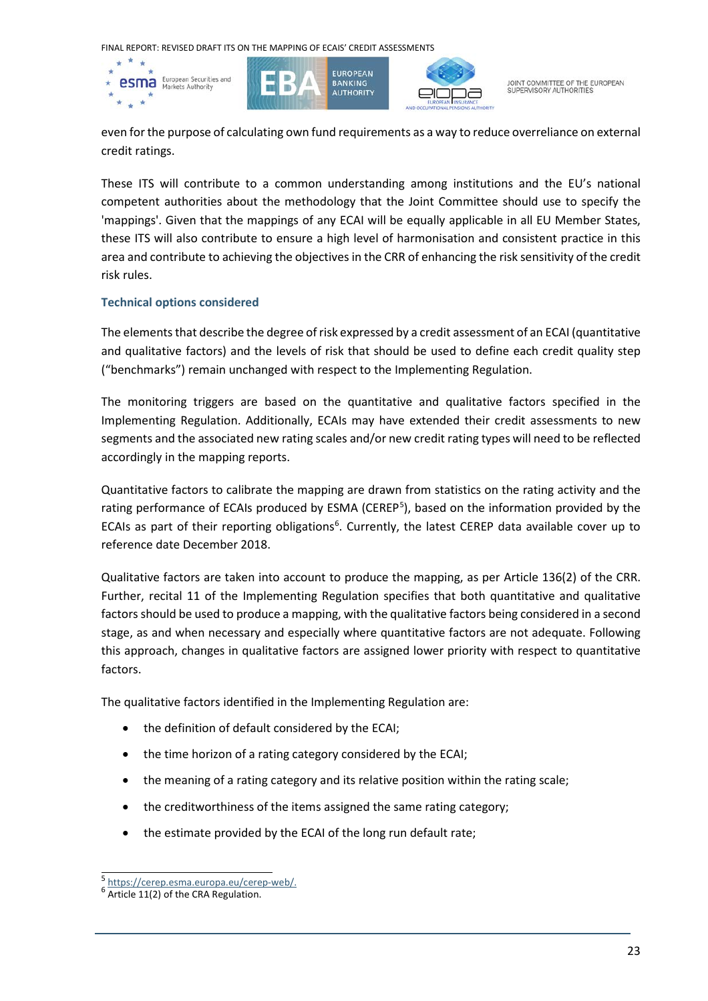

even for the purpose of calculating own fund requirements as a way to reduce overreliance on external credit ratings.

These ITS will contribute to a common understanding among institutions and the EU's national competent authorities about the methodology that the Joint Committee should use to specify the 'mappings'. Given that the mappings of any ECAI will be equally applicable in all EU Member States, these ITS will also contribute to ensure a high level of harmonisation and consistent practice in this area and contribute to achieving the objectives in the CRR of enhancing the risk sensitivity of the credit risk rules.

### **Technical options considered**

The elements that describe the degree of risk expressed by a credit assessment of an ECAI (quantitative and qualitative factors) and the levels of risk that should be used to define each credit quality step ("benchmarks") remain unchanged with respect to the Implementing Regulation.

The monitoring triggers are based on the quantitative and qualitative factors specified in the Implementing Regulation. Additionally, ECAIs may have extended their credit assessments to new segments and the associated new rating scales and/or new credit rating types will need to be reflected accordingly in the mapping reports.

Quantitative factors to calibrate the mapping are drawn from statistics on the rating activity and the rating performance of ECAIs produced by ESMA (CEREP<sup>[5](#page-22-0)</sup>), based on the information provided by the ECAIs as part of their reporting obligations<sup>[6](#page-22-1)</sup>. Currently, the latest CEREP data available cover up to reference date December 2018.

Qualitative factors are taken into account to produce the mapping, as per Article 136(2) of the CRR. Further, recital 11 of the Implementing Regulation specifies that both quantitative and qualitative factors should be used to produce a mapping, with the qualitative factors being considered in a second stage, as and when necessary and especially where quantitative factors are not adequate. Following this approach, changes in qualitative factors are assigned lower priority with respect to quantitative factors.

The qualitative factors identified in the Implementing Regulation are:

- the definition of default considered by the ECAI;
- the time horizon of a rating category considered by the ECAI;
- the meaning of a rating category and its relative position within the rating scale;
- the creditworthiness of the items assigned the same rating category;
- the estimate provided by the ECAI of the long run default rate;

<span id="page-22-1"></span><span id="page-22-0"></span> $^5$  [https://cerep.esma.europa.eu/cerep-web/.](https://cerep.esma.europa.eu/cerep-web/)<br> $^6$  Article 11(2) of the CRA Regulation.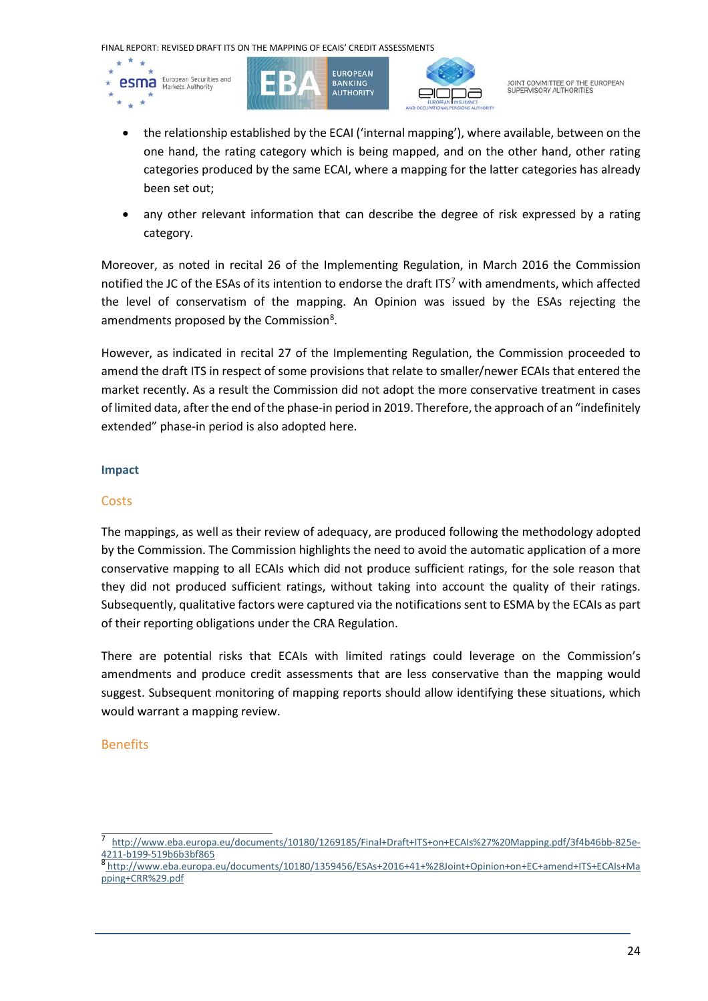

JOINT COMMITTEE OF THE EUROPEAN<br>SUPERVISORY AUTHORITIES

- the relationship established by the ECAI ('internal mapping'), where available, between on the one hand, the rating category which is being mapped, and on the other hand, other rating categories produced by the same ECAI, where a mapping for the latter categories has already been set out;
- any other relevant information that can describe the degree of risk expressed by a rating category.

Moreover, as noted in recital 26 of the Implementing Regulation, in March 2016 the Commission notified the JC of the ESAs of its intention to endorse the draft ITS<sup>[7](#page-23-0)</sup> with amendments, which affected the level of conservatism of the mapping. An Opinion was issued by the ESAs rejecting the amendments proposed by the Commission<sup>[8](#page-23-1)</sup>.

However, as indicated in recital 27 of the Implementing Regulation, the Commission proceeded to amend the draft ITS in respect of some provisions that relate to smaller/newer ECAIs that entered the market recently. As a result the Commission did not adopt the more conservative treatment in cases of limited data, after the end of the phase-in period in 2019. Therefore, the approach of an "indefinitely extended" phase-in period is also adopted here.

## **Impact**

## **Costs**

The mappings, as well as their review of adequacy, are produced following the methodology adopted by the Commission. The Commission highlights the need to avoid the automatic application of a more conservative mapping to all ECAIs which did not produce sufficient ratings, for the sole reason that they did not produced sufficient ratings, without taking into account the quality of their ratings. Subsequently, qualitative factors were captured via the notifications sent to ESMA by the ECAIs as part of their reporting obligations under the CRA Regulation.

There are potential risks that ECAIs with limited ratings could leverage on the Commission's amendments and produce credit assessments that are less conservative than the mapping would suggest. Subsequent monitoring of mapping reports should allow identifying these situations, which would warrant a mapping review.

## Benefits

<span id="page-23-0"></span> <sup>7</sup> [http://www.eba.europa.eu/documents/10180/1269185/Final+Draft+ITS+on+ECAIs%27%20Mapping.pdf/3f4b46bb-825e-](http://www.eba.europa.eu/documents/10180/1269185/Final+Draft+ITS+on+ECAIs%27%20Mapping.pdf/3f4b46bb-825e-4211-b199-519b6b3bf865)[4211-b199-519b6b3bf865](http://www.eba.europa.eu/documents/10180/1269185/Final+Draft+ITS+on+ECAIs%27%20Mapping.pdf/3f4b46bb-825e-4211-b199-519b6b3bf865)

<span id="page-23-1"></span><sup>8</sup> [http://www.eba.europa.eu/documents/10180/1359456/ESAs+2016+41+%28Joint+Opinion+on+EC+amend+ITS+ECAIs+Ma](http://www.eba.europa.eu/documents/10180/1359456/ESAs+2016+41+%28Joint+Opinion+on+EC+amend+ITS+ECAIs+Mapping+CRR%29.pdf) [pping+CRR%29.pdf](http://www.eba.europa.eu/documents/10180/1359456/ESAs+2016+41+%28Joint+Opinion+on+EC+amend+ITS+ECAIs+Mapping+CRR%29.pdf)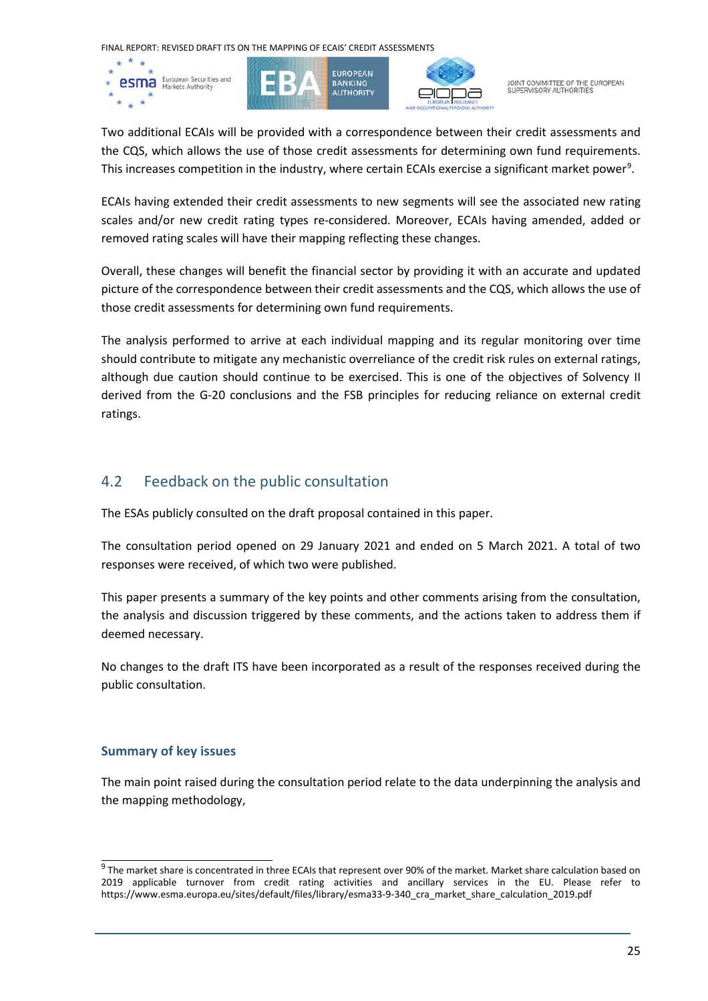

JOINT COMMITTEE OF THE EUROPEAN<br>SUPERVISORY AUTHORITIES

Two additional ECAIs will be provided with a correspondence between their credit assessments and the CQS, which allows the use of those credit assessments for determining own fund requirements. This increases competition in the industry, where certain ECAIs exercise a significant market power<sup>[9](#page-24-0)</sup>.

ECAIs having extended their credit assessments to new segments will see the associated new rating scales and/or new credit rating types re-considered. Moreover, ECAIs having amended, added or removed rating scales will have their mapping reflecting these changes.

Overall, these changes will benefit the financial sector by providing it with an accurate and updated picture of the correspondence between their credit assessments and the CQS, which allows the use of those credit assessments for determining own fund requirements.

The analysis performed to arrive at each individual mapping and its regular monitoring over time should contribute to mitigate any mechanistic overreliance of the credit risk rules on external ratings, although due caution should continue to be exercised. This is one of the objectives of Solvency II derived from the G-20 conclusions and the FSB principles for reducing reliance on external credit ratings.

## 4.2 Feedback on the public consultation

The ESAs publicly consulted on the draft proposal contained in this paper.

The consultation period opened on 29 January 2021 and ended on 5 March 2021. A total of two responses were received, of which two were published.

This paper presents a summary of the key points and other comments arising from the consultation, the analysis and discussion triggered by these comments, and the actions taken to address them if deemed necessary.

No changes to the draft ITS have been incorporated as a result of the responses received during the public consultation.

## **Summary of key issues**

The main point raised during the consultation period relate to the data underpinning the analysis and the mapping methodology,

<span id="page-24-0"></span> $9$  The market share is concentrated in three ECAIs that represent over 90% of the market. Market share calculation based on 2019 applicable turnover from credit rating activities and ancillary services in the EU. Please refer to https://www.esma.europa.eu/sites/default/files/library/esma33-9-340\_cra\_market\_share\_calculation\_2019.pdf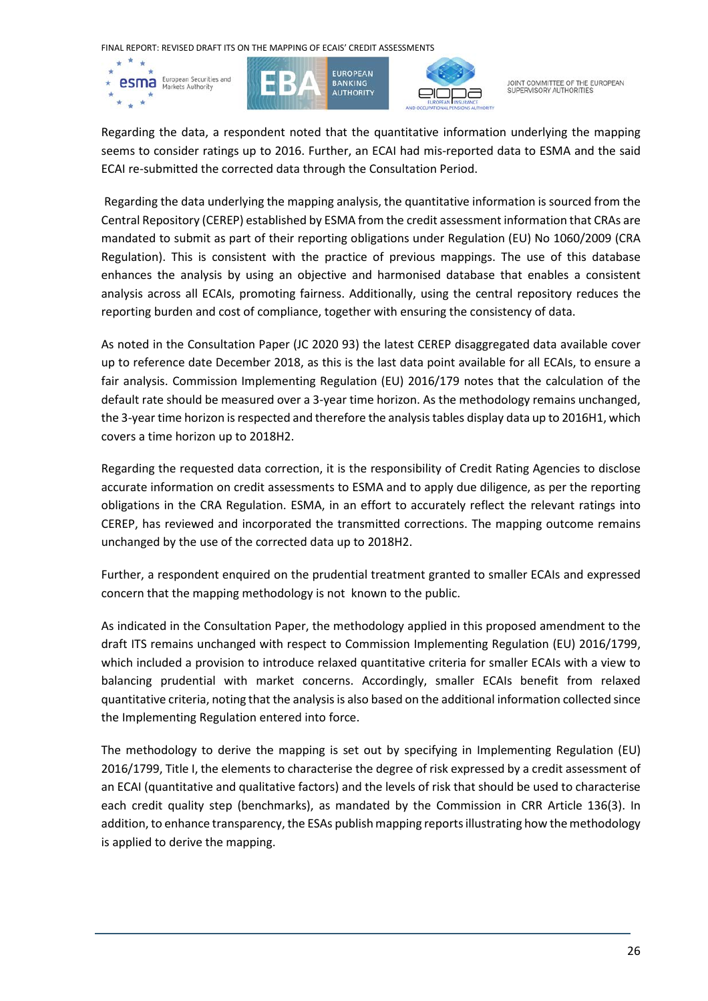

Regarding the data, a respondent noted that the quantitative information underlying the mapping seems to consider ratings up to 2016. Further, an ECAI had mis-reported data to ESMA and the said ECAI re-submitted the corrected data through the Consultation Period.

Regarding the data underlying the mapping analysis, the quantitative information is sourced from the Central Repository (CEREP) established by ESMA from the credit assessment information that CRAs are mandated to submit as part of their reporting obligations under Regulation (EU) No 1060/2009 (CRA Regulation). This is consistent with the practice of previous mappings. The use of this database enhances the analysis by using an objective and harmonised database that enables a consistent analysis across all ECAIs, promoting fairness. Additionally, using the central repository reduces the reporting burden and cost of compliance, together with ensuring the consistency of data.

As noted in the Consultation Paper (JC 2020 93) the latest CEREP disaggregated data available cover up to reference date December 2018, as this is the last data point available for all ECAIs, to ensure a fair analysis. Commission Implementing Regulation (EU) 2016/179 notes that the calculation of the default rate should be measured over a 3-year time horizon. As the methodology remains unchanged, the 3-year time horizon is respected and therefore the analysis tables display data up to 2016H1, which covers a time horizon up to 2018H2.

Regarding the requested data correction, it is the responsibility of Credit Rating Agencies to disclose accurate information on credit assessments to ESMA and to apply due diligence, as per the reporting obligations in the CRA Regulation. ESMA, in an effort to accurately reflect the relevant ratings into CEREP, has reviewed and incorporated the transmitted corrections. The mapping outcome remains unchanged by the use of the corrected data up to 2018H2.

Further, a respondent enquired on the prudential treatment granted to smaller ECAIs and expressed concern that the mapping methodology is not known to the public.

As indicated in the Consultation Paper, the methodology applied in this proposed amendment to the draft ITS remains unchanged with respect to Commission Implementing Regulation (EU) 2016/1799, which included a provision to introduce relaxed quantitative criteria for smaller ECAIs with a view to balancing prudential with market concerns. Accordingly, smaller ECAIs benefit from relaxed quantitative criteria, noting that the analysis is also based on the additional information collected since the Implementing Regulation entered into force.

The methodology to derive the mapping is set out by specifying in Implementing Regulation (EU) 2016/1799, Title I, the elements to characterise the degree of risk expressed by a credit assessment of an ECAI (quantitative and qualitative factors) and the levels of risk that should be used to characterise each credit quality step (benchmarks), as mandated by the Commission in CRR Article 136(3). In addition, to enhance transparency, the ESAs publish mapping reports illustrating how the methodology is applied to derive the mapping.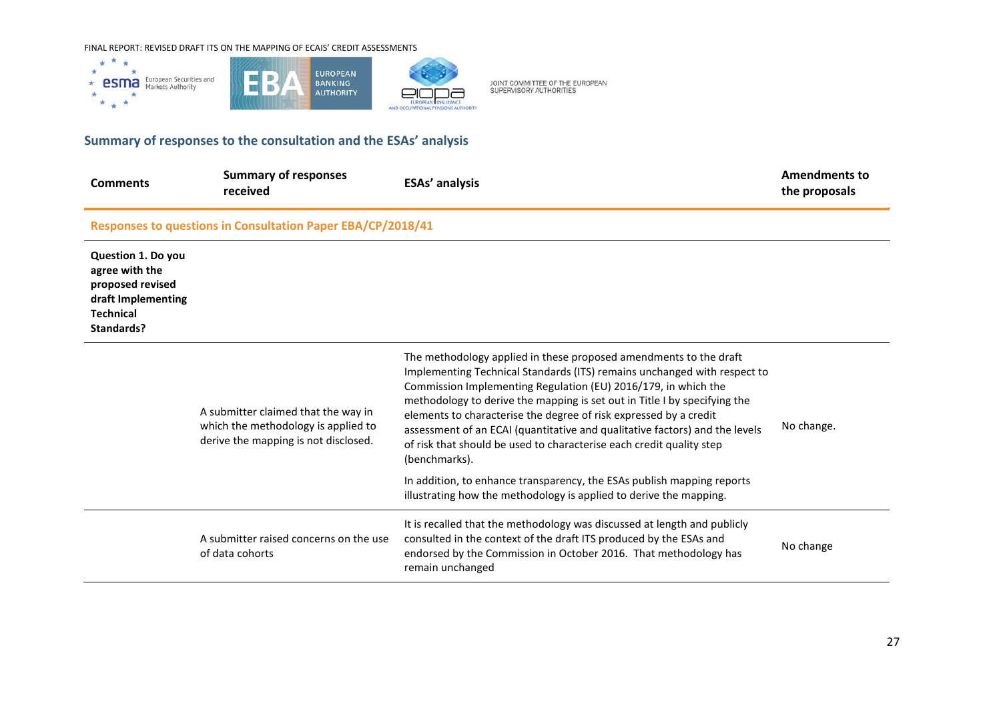

## **Summary of responses to the consultation and the ESAs' analysis**

| <b>Comments</b>                                                                                                  | <b>Summary of responses</b><br>received                                                                            | <b>ESAs' analysis</b>                                                                                                                                                                                                                                                                                                                                                                                                                                                                                                                     | <b>Amendments to</b><br>the proposals |
|------------------------------------------------------------------------------------------------------------------|--------------------------------------------------------------------------------------------------------------------|-------------------------------------------------------------------------------------------------------------------------------------------------------------------------------------------------------------------------------------------------------------------------------------------------------------------------------------------------------------------------------------------------------------------------------------------------------------------------------------------------------------------------------------------|---------------------------------------|
|                                                                                                                  | <b>Responses to questions in Consultation Paper EBA/CP/2018/41</b>                                                 |                                                                                                                                                                                                                                                                                                                                                                                                                                                                                                                                           |                                       |
| Question 1. Do you<br>agree with the<br>proposed revised<br>draft Implementing<br><b>Technical</b><br>Standards? |                                                                                                                    |                                                                                                                                                                                                                                                                                                                                                                                                                                                                                                                                           |                                       |
|                                                                                                                  | A submitter claimed that the way in<br>which the methodology is applied to<br>derive the mapping is not disclosed. | The methodology applied in these proposed amendments to the draft<br>Implementing Technical Standards (ITS) remains unchanged with respect to<br>Commission Implementing Regulation (EU) 2016/179, in which the<br>methodology to derive the mapping is set out in Title I by specifying the<br>elements to characterise the degree of risk expressed by a credit<br>assessment of an ECAI (quantitative and qualitative factors) and the levels<br>of risk that should be used to characterise each credit quality step<br>(benchmarks). | No change.                            |
|                                                                                                                  |                                                                                                                    | In addition, to enhance transparency, the ESAs publish mapping reports<br>illustrating how the methodology is applied to derive the mapping.                                                                                                                                                                                                                                                                                                                                                                                              |                                       |
|                                                                                                                  | A submitter raised concerns on the use<br>of data cohorts                                                          | It is recalled that the methodology was discussed at length and publicly<br>consulted in the context of the draft ITS produced by the ESAs and<br>endorsed by the Commission in October 2016. That methodology has<br>remain unchanged                                                                                                                                                                                                                                                                                                    | No change                             |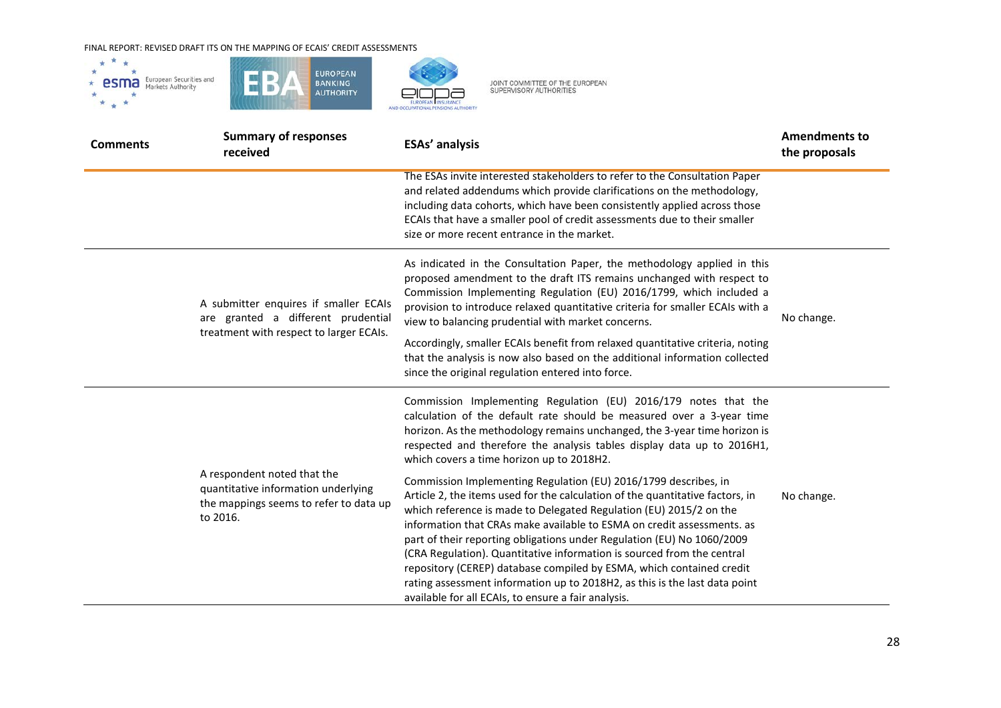

are granted a different prudential treatment with respect to larger ECAIs.

A respondent noted that the

**Comments Summary of responses**  Summary of responses **ESAs'** analysis<br>
Fig. 2.1 Telectrical analysis<br>
Preceived the proposals The ESAs invite interested stakeholders to refer to the Consultation Paper and related addendums which provide clarifications on the methodology, including data cohorts, which have been consistently applied across those ECAIs that have a smaller pool of credit assessments due to their smaller size or more recent entrance in the market. A submitter enquires if smaller ECAIs As indicated in the Consultation Paper, the methodology applied in this proposed amendment to the draft ITS remains unchanged with respect to Commission Implementing Regulation (EU) 2016/1799, which included a provision to introduce relaxed quantitative criteria for smaller ECAIs with a

JOINT COMMITTEE OF THE EUROPEAN

SUPERVISORY AUTHORITIES

view to balancing prudential with market concerns. Accordingly, smaller ECAIs benefit from relaxed quantitative criteria, noting that the analysis is now also based on the additional information collected since the original regulation entered into force. No change.

Commission Implementing Regulation (EU) 2016/179 notes that the calculation of the default rate should be measured over a 3-year time horizon. As the methodology remains unchanged, the 3-year time horizon is respected and therefore the analysis tables display data up to 2016H1, which covers a time horizon up to 2018H2.

quantitative information underlying the mappings seems to refer to data up to 2016. Commission Implementing Regulation (EU) 2016/1799 describes, in Article 2, the items used for the calculation of the quantitative factors, in which reference is made to Delegated Regulation (EU) 2015/2 on the information that CRAs make available to ESMA on credit assessments. as part of their reporting obligations under Regulation (EU) No 1060/2009 (CRA Regulation). Quantitative information is sourced from the central repository (CEREP) database compiled by ESMA, which contained credit rating assessment information up to 2018H2, as this is the last data point available for all ECAIs, to ensure a fair analysis. No change.

**the proposals**